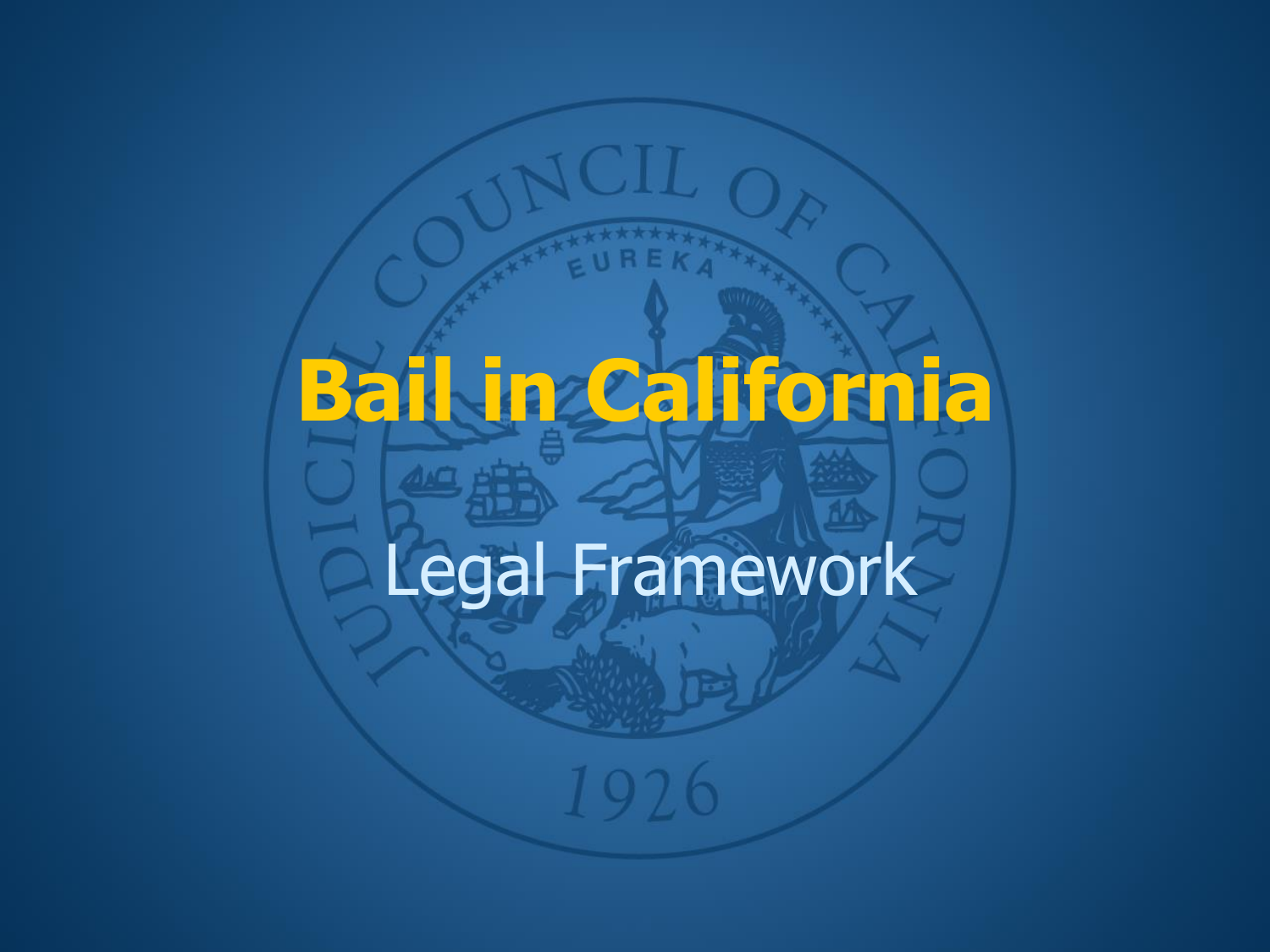# **Bail in California**

## Legal Framework

1926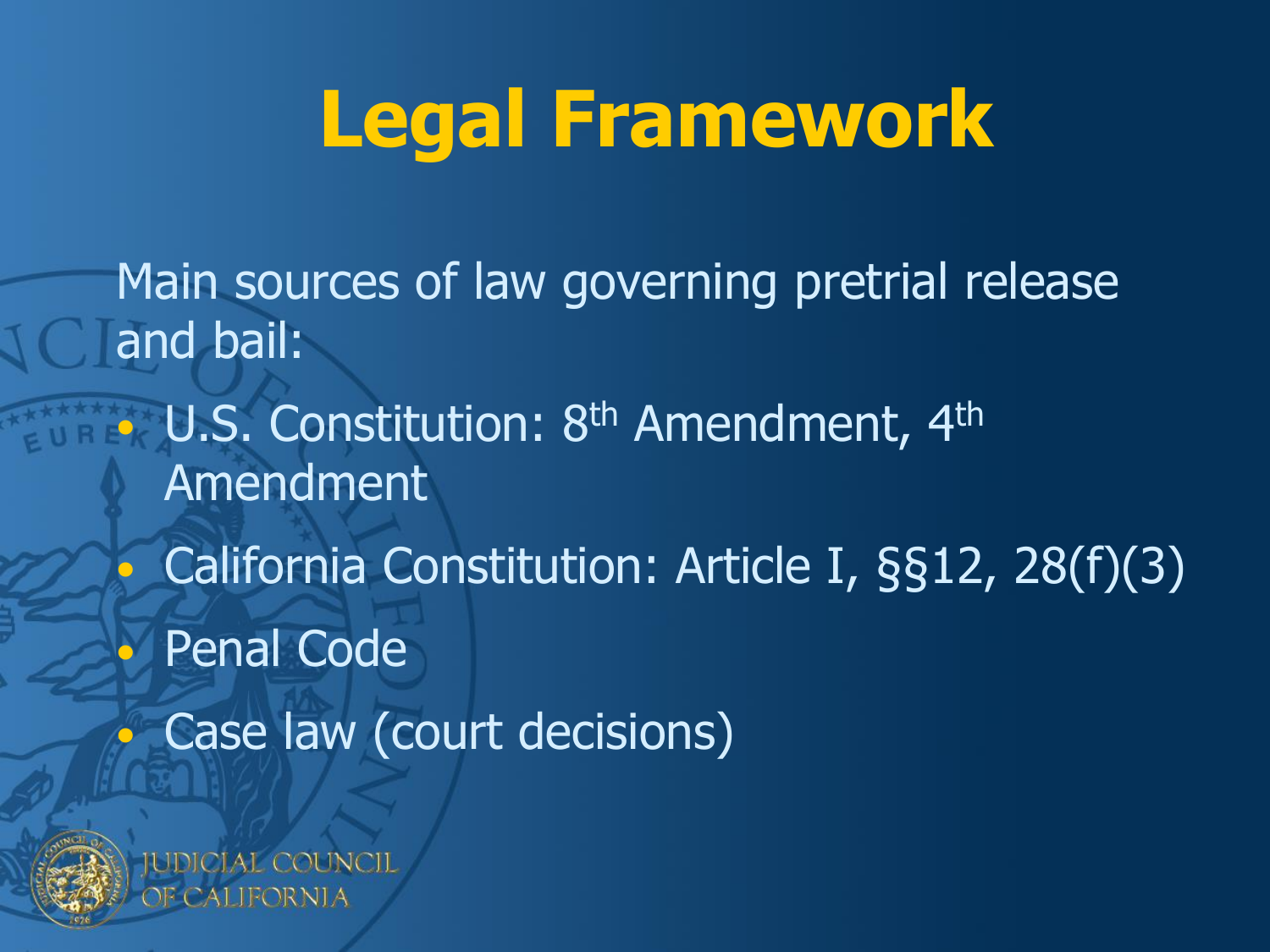### **Legal Framework**

Main sources of law governing pretrial release and bail: • U.S. Constitution: 8<sup>th</sup> Amendment, 4<sup>th</sup> Amendment • California Constitution: Article I, §§12, 28(f)(3) • Penal Code • Case law (court decisions)

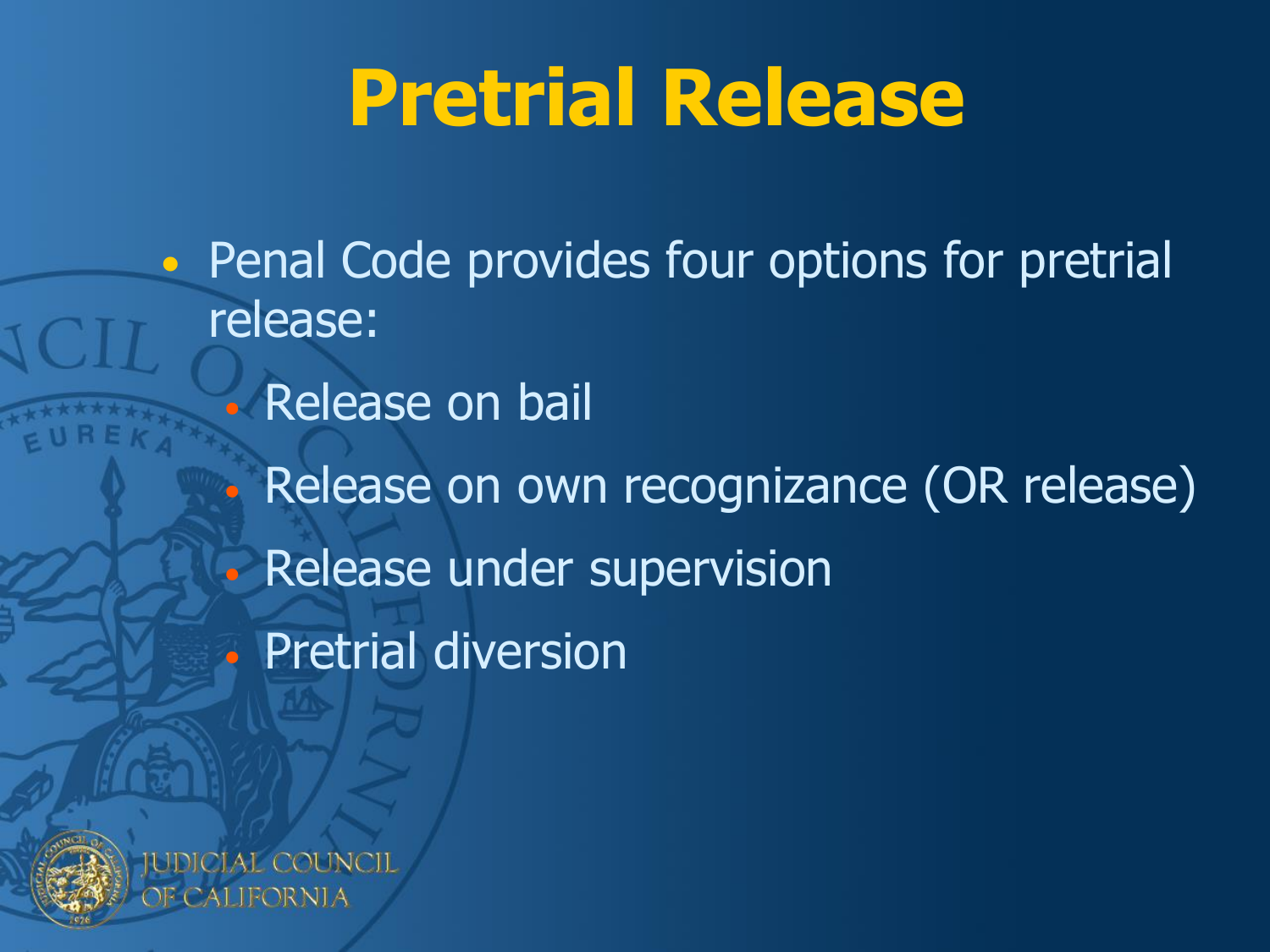### **Pretrial Release**

• Penal Code provides four options for pretrial release: • Release on bail • Release on own recognizance (OR release) • Release under supervision • Pretrial diversion



TFORNI A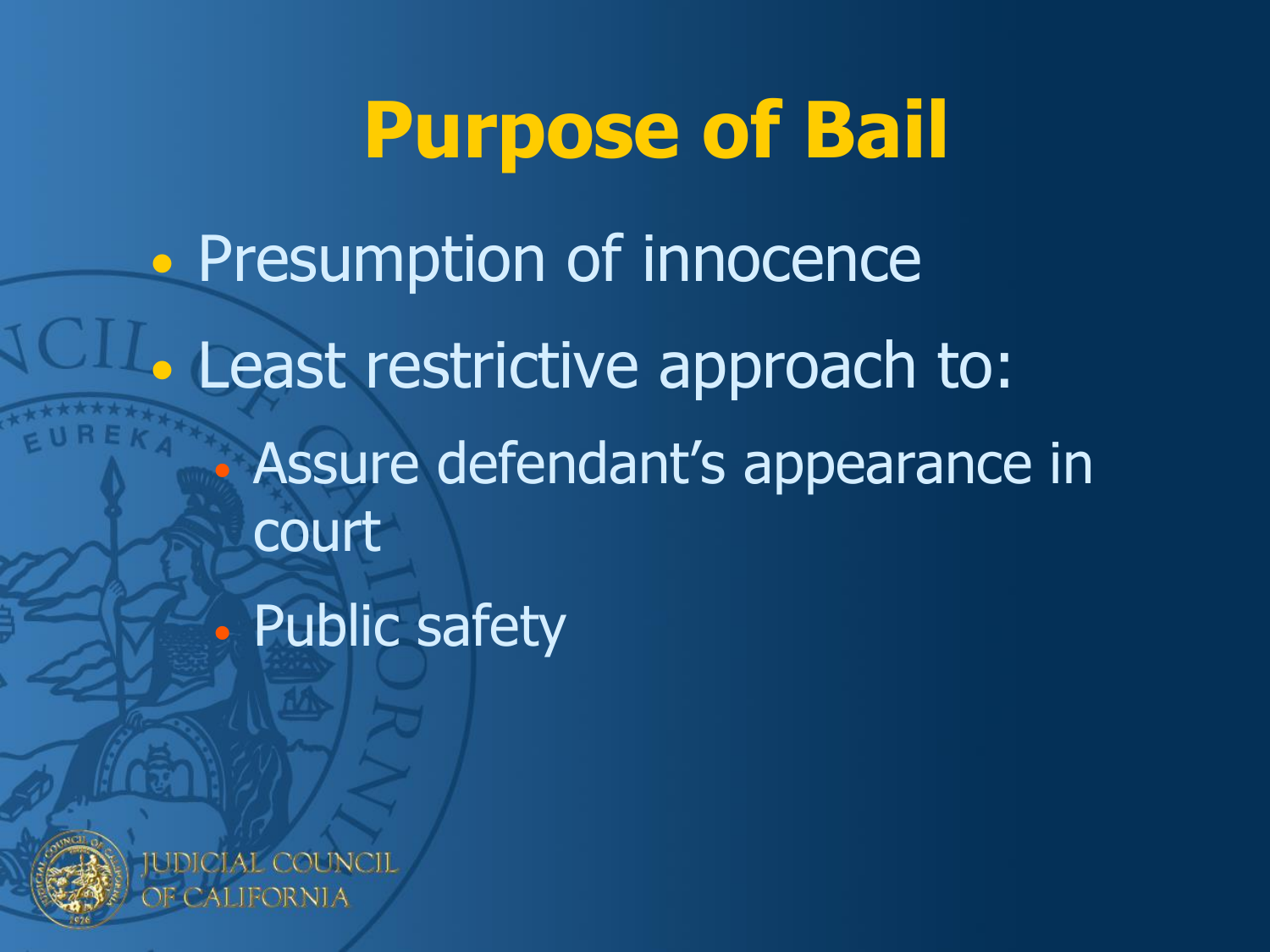**Purpose of Bail** • Presumption of innocence • Least restrictive approach to: • Assure defendant's appearance in court • Public safety



**JDICIAL COUNCIL** CALIFORNIA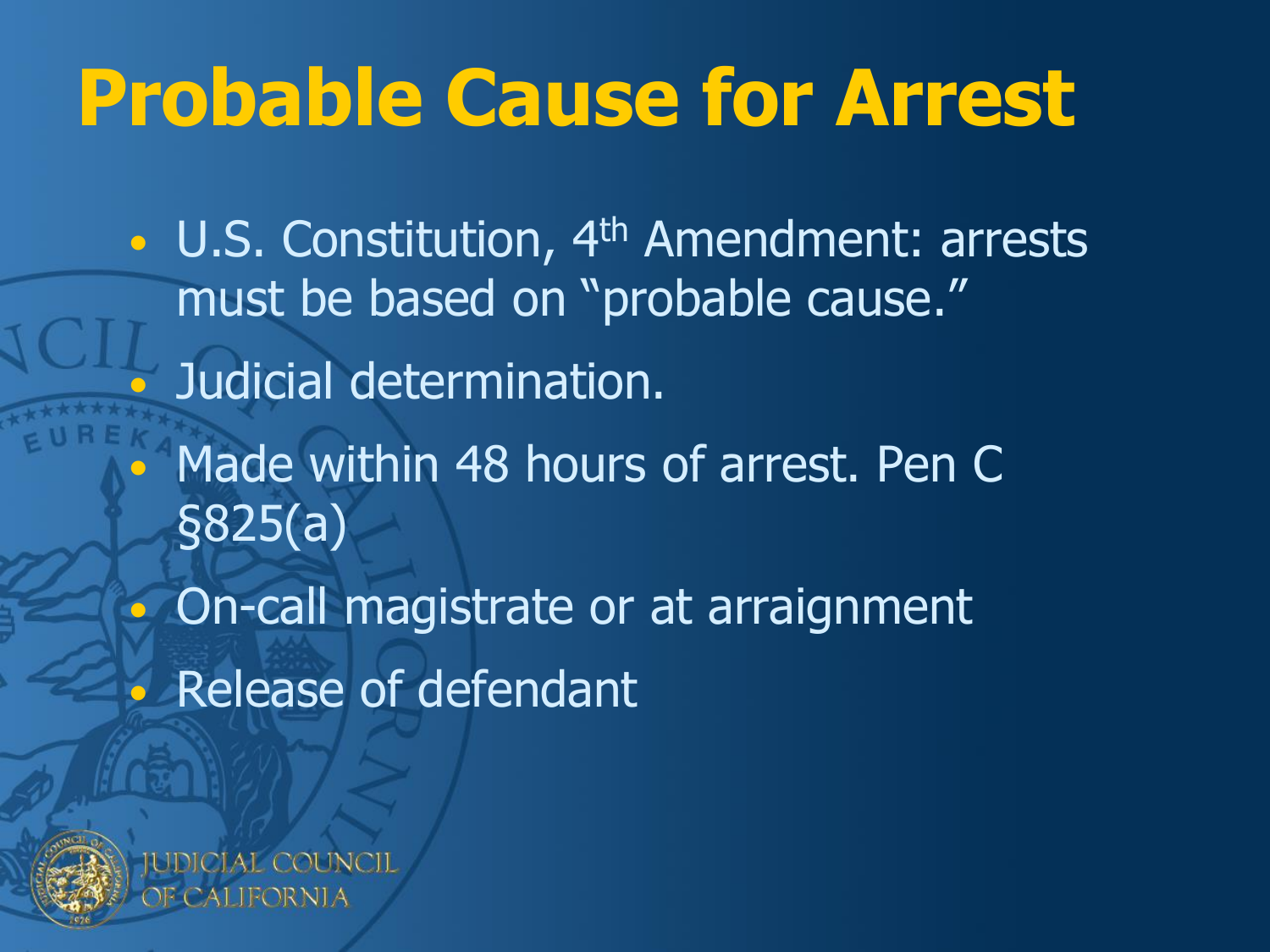### **Probable Cause for Arrest**

• U.S. Constitution, 4<sup>th</sup> Amendment: arrests must be based on "probable cause." • Judicial determination. Made within 48 hours of arrest. Pen C §825(a)

• On-call magistrate or at arraignment • Release of defendant

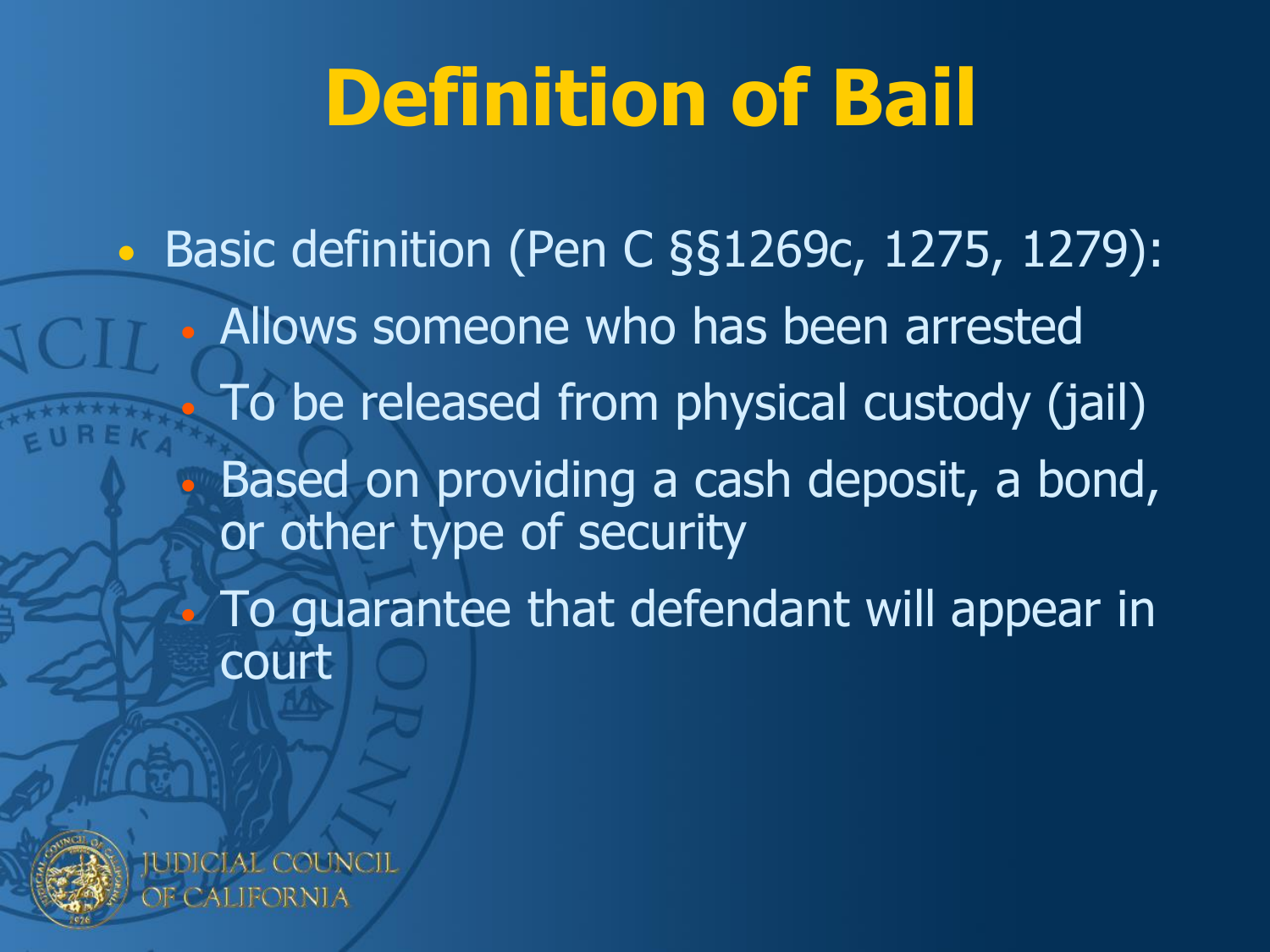### **Definition of Bail**

• Basic definition (Pen C §§1269c, 1275, 1279): • Allows someone who has been arrested • To be released from physical custody (jail) • Based on providing a cash deposit, a bond, or other type of security • To guarantee that defendant will appear in court

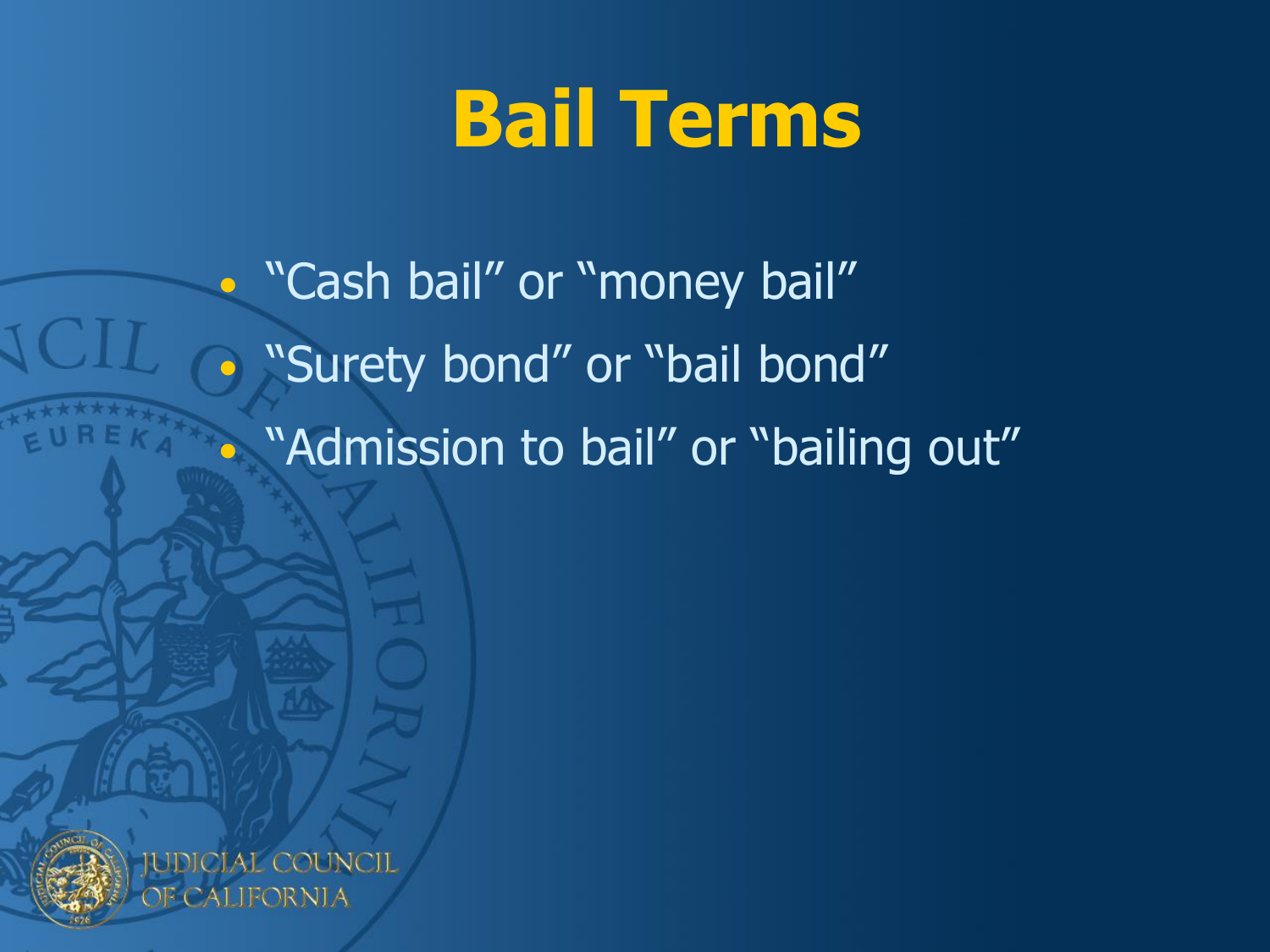### **Bail Terms**

• "Cash bail" or "money bail" **• "Surety bond" or "bail bond"** • "Admission to bail" or "bailing out"



**JDICIAL COUNCIL** CALIFORNIA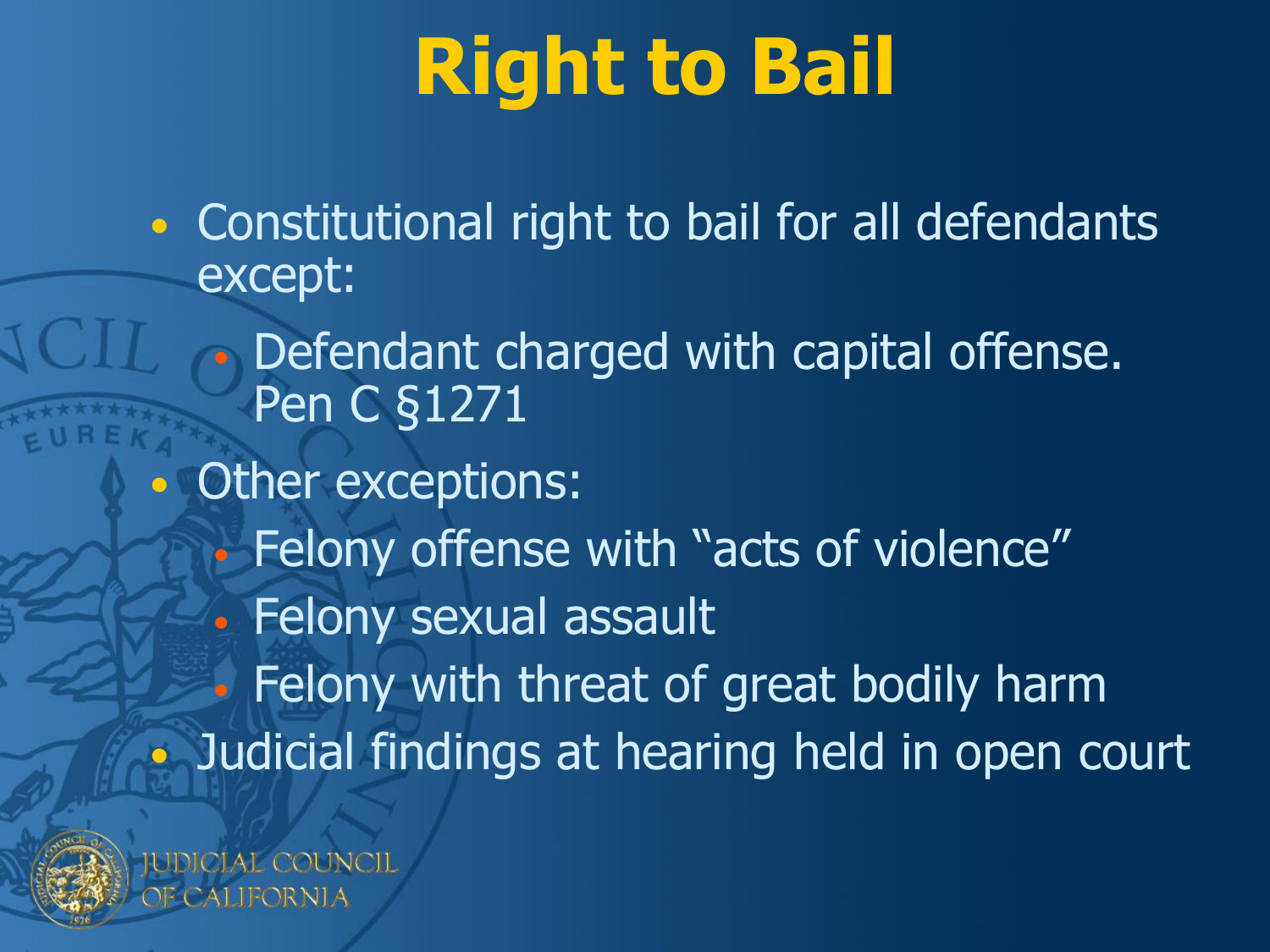### **Right to Bail**

• Constitutional right to bail for all defendants except:

Defendant charged with capital offense. Pen C §1271

Other exceptions:

• Felony offense with "acts of violence" Felony sexual assault

• Felony with threat of great bodily harm • Judicial findings at hearing held in open court



IDICIAL COUNCIL DR NITA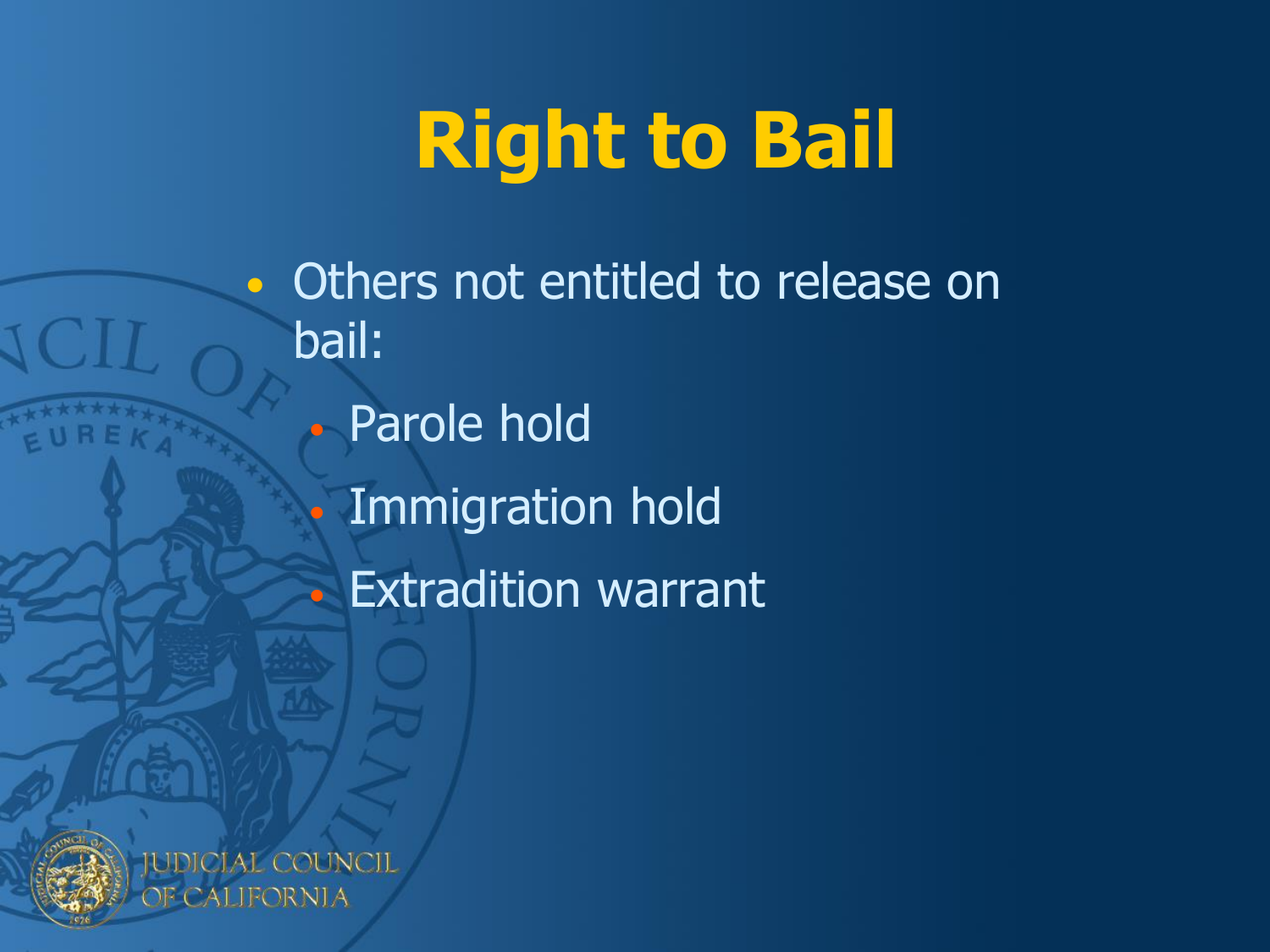### **Right to Bail**

• Others not entitled to release on bail: • Parole hold • Immigration hold • Extradition warrant



**JDICIAL COUNCIL** CALIFORNIA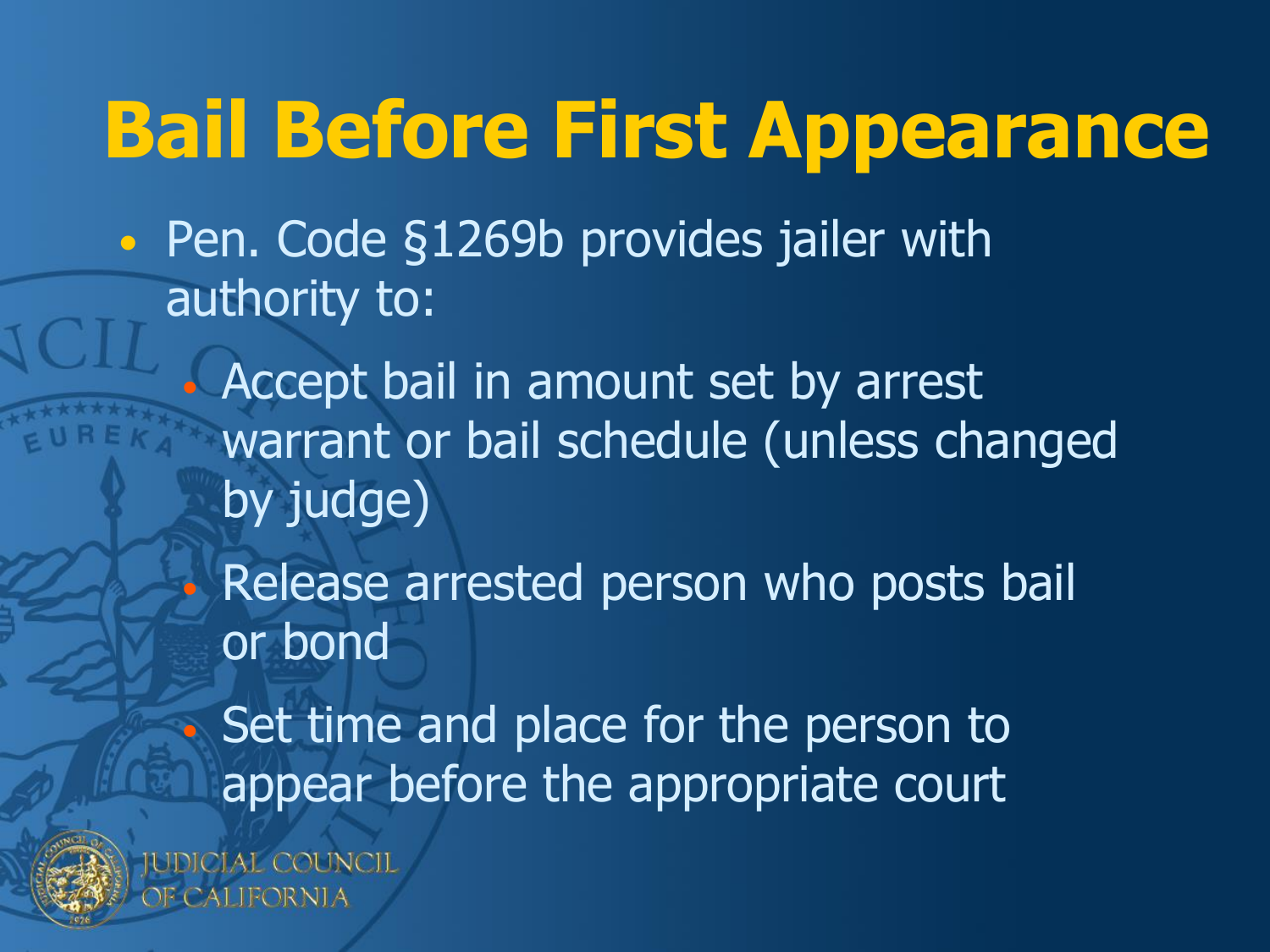### **Bail Before First Appearance**

• Pen. Code §1269b provides jailer with authority to:

• Accept bail in amount set by arrest warrant or bail schedule (unless changed by judge)

• Release arrested person who posts bail or bond

Set time and place for the person to appear before the appropriate court



**JDICIAL COUNCIL** dalifornia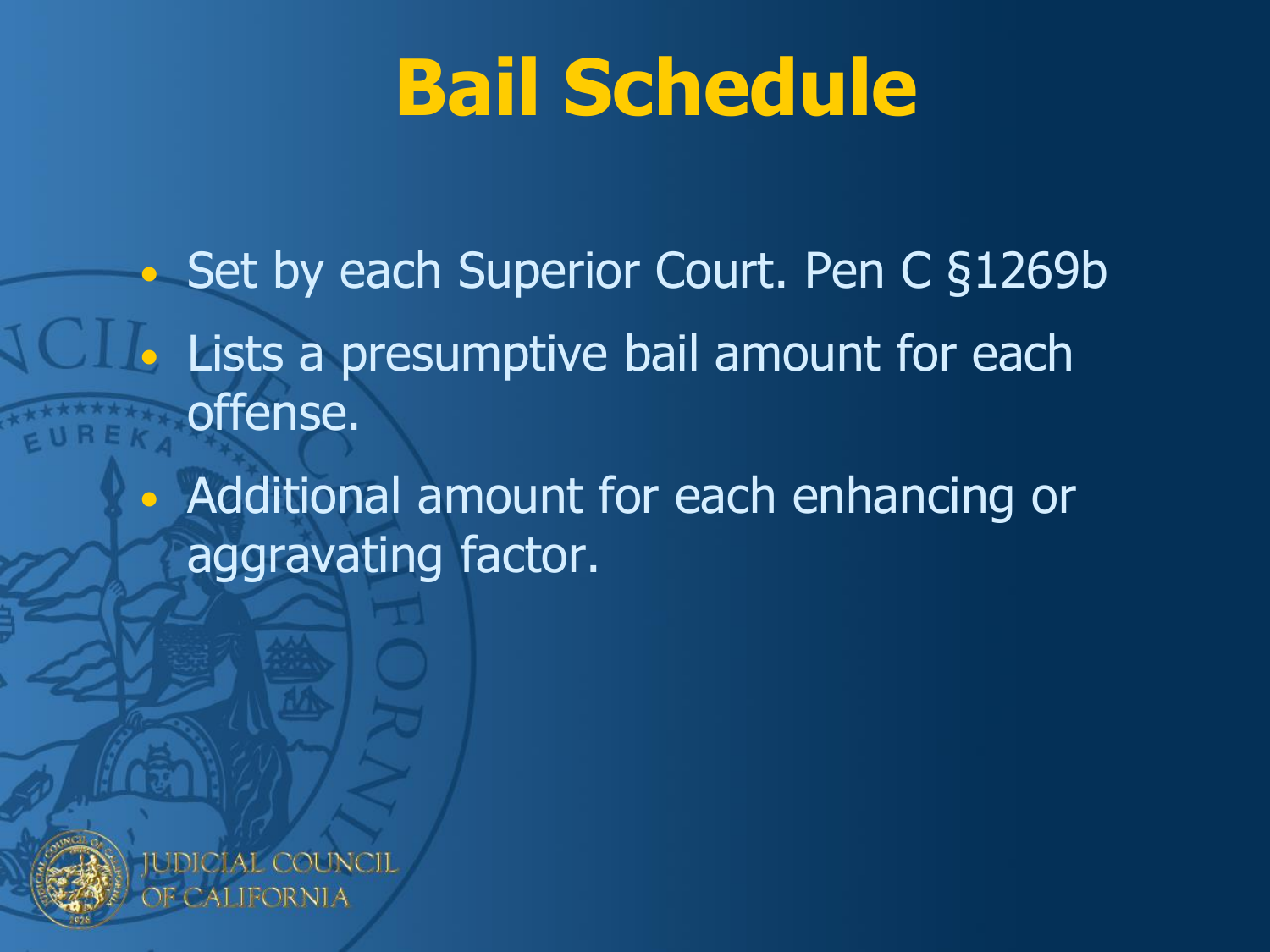### **Bail Schedule**

• Set by each Superior Court. Pen C §1269b Lists a presumptive bail amount for each offense.

> • Additional amount for each enhancing or aggravating factor.



IDICIAL COUNCIL JFORNI A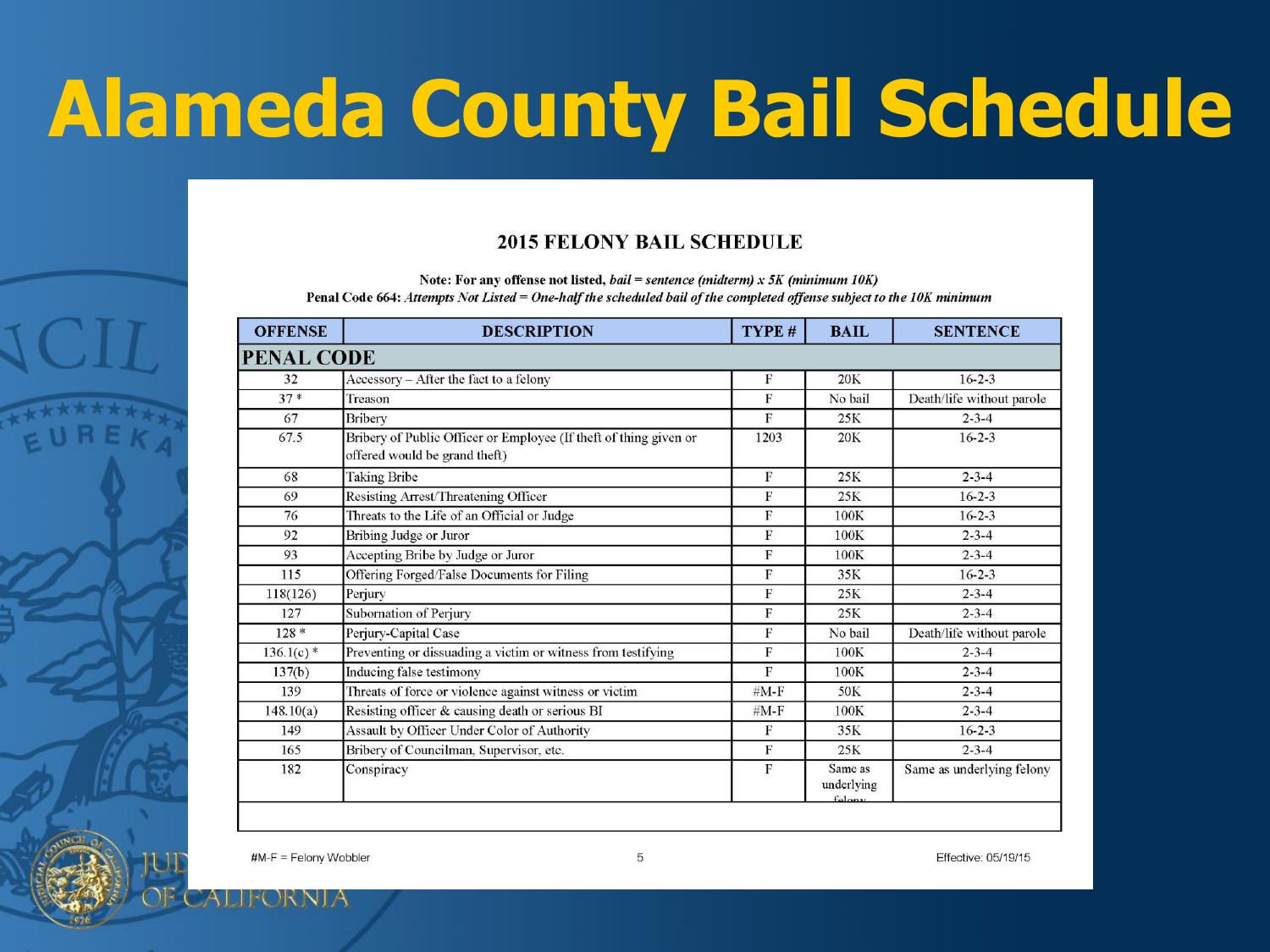## **Alameda County Bail Schedule**

#### **2015 FELONY BAIL SCHEDULE**

Note: For any offense not listed, bail = sentence (midterm) x 5K (minimum 10K) Penal Code 664: Attempts Not Listed = One-half the scheduled bail of the completed offense subject to the 10K minimum

| <b>OFFENSE</b>    | <b>DESCRIPTION</b>                                                                                 | TYPE #       | <b>BAIL</b>                          | <b>SENTENCE</b>           |
|-------------------|----------------------------------------------------------------------------------------------------|--------------|--------------------------------------|---------------------------|
| <b>PENAL CODE</b> |                                                                                                    |              |                                      |                           |
| 32                | Accessory - After the fact to a felony                                                             | F            | 20K                                  | $16 - 2 - 3$              |
| $37*$             | Treason                                                                                            | F            | No bail                              | Death/life without parole |
| 67                | Bribery                                                                                            | F            | 25K                                  | $2 - 3 - 4$               |
| 67.5              | Bribery of Public Officer or Employee (If theft of thing given or<br>offered would be grand theft) | 1203         | <b>20K</b>                           | $16 - 2 - 3$              |
| 68                | <b>Taking Bribe</b>                                                                                | $_{\rm F}$   | 25K                                  | $2 - 3 - 4$               |
| 69                | Resisting Arrest/Threatening Officer                                                               | F            | 25K                                  | $16 - 2 - 3$              |
| 76                | Threats to the Life of an Official or Judge                                                        | F            | 100K                                 | $16 - 2 - 3$              |
| 92                | Bribing Judge or Juror                                                                             | F            | 100K                                 | $2 - 3 - 4$               |
| 93                | Accepting Bribe by Judge or Juror                                                                  | F            | 100K                                 | $2 - 3 - 4$               |
| 115               | Offering Forged/False Documents for Filing                                                         | F            | 35K                                  | $16 - 2 - 3$              |
| 118(126)          | Perjury                                                                                            | $\mathbf{F}$ | 25K                                  | $2 - 3 - 4$               |
| 127               | Subornation of Perjury                                                                             | F            | 25K                                  | $2 - 3 - 4$               |
| $128*$            | Perjury-Capital Case                                                                               | F            | No bail                              | Death/life without parole |
| $136.1(c)$ *      | Preventing or dissuading a victim or witness from testifying                                       | F            | 100K                                 | $2 - 3 - 4$               |
| 137(b)            | Inducing false testimony                                                                           | $\mathbf F$  | 100K                                 | $2 - 3 - 4$               |
| 139               | Threats of force or violence against witness or victim                                             | $#M-F$       | 50K                                  | $2 - 3 - 4$               |
| 148.10(a)         | Resisting officer & causing death or serious BI                                                    | $#M-F$       | 100K                                 | $2 - 3 - 4$               |
| 149               | Assault by Officer Under Color of Authority                                                        | F            | 35K                                  | $16 - 2 - 3$              |
| 165               | Bribery of Councilman, Supervisor, etc.                                                            | F            | 25K                                  | $2 - 3 - 4$               |
| 182               | Conspiracy                                                                                         | F            | Same as<br>underlying<br>$fal_{001}$ | Same as underlying felony |

5

Effective: 05/19/15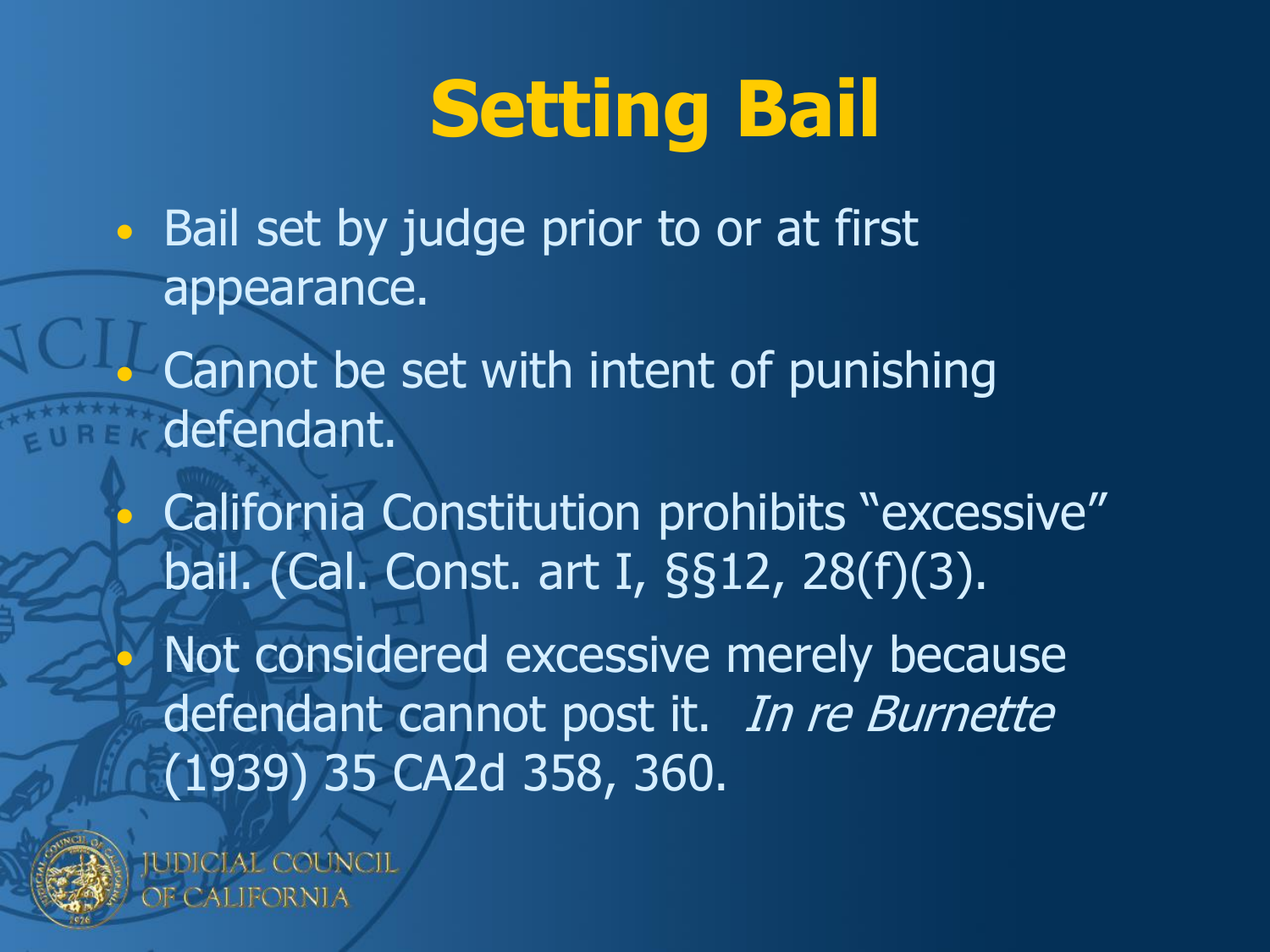### **Setting Bail**

- Bail set by judge prior to or at first appearance.
	- Cannot be set with intent of punishing defendant.
		- California Constitution prohibits "excessive" bail. (Cal. Const. art I, §§12, 28(f)(3). Not considered excessive merely because defendant cannot post it. In re Burnette (1939) 35 CA2d 358, 360.



**IDICIAL COUNCIL** CALIFORNIA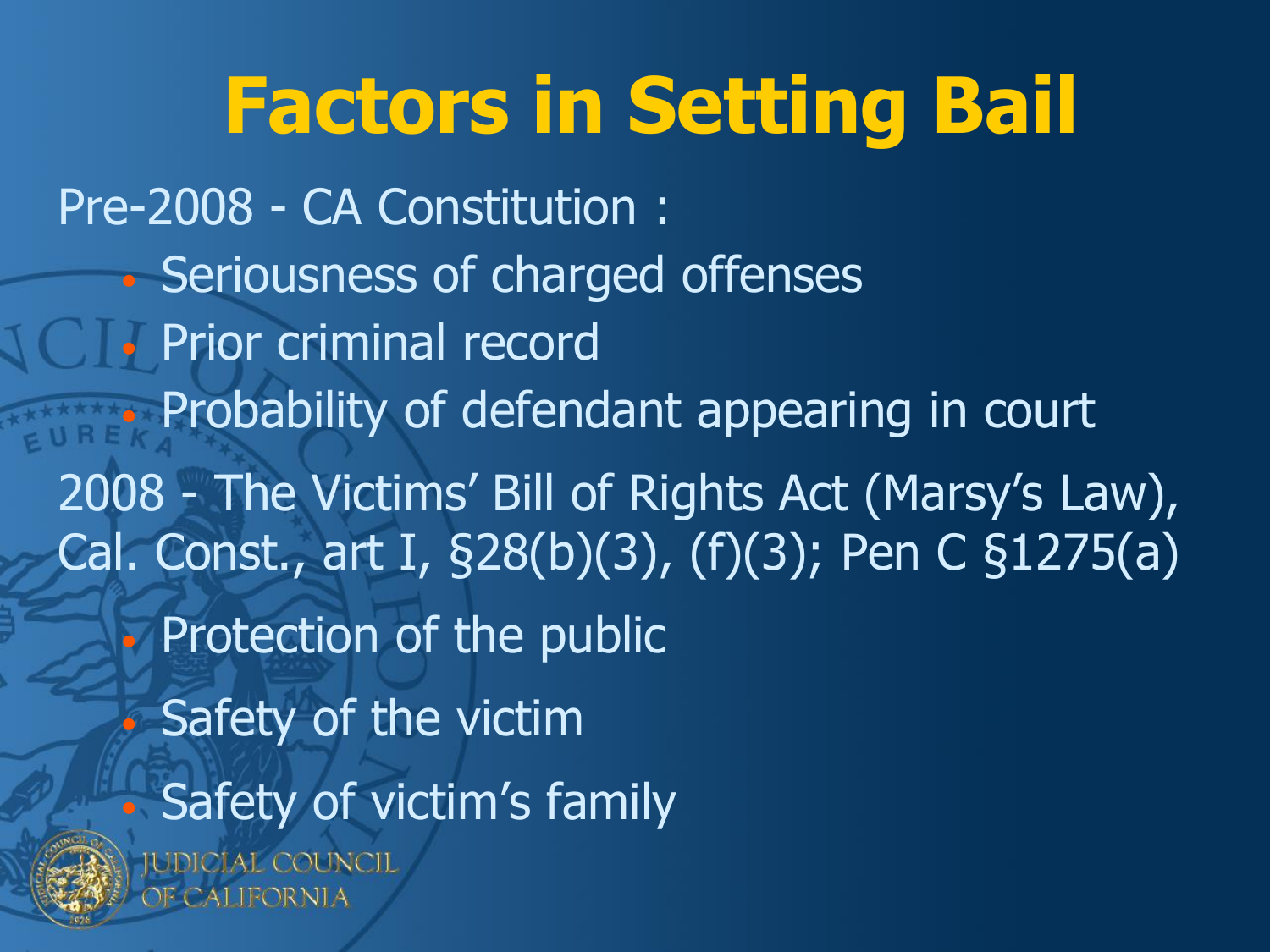### **Factors in Setting Bail**

Pre-2008 - CA Constitution : • Seriousness of charged offenses • Prior criminal record • Probability of defendant appearing in court 2008 - The Victims' Bill of Rights Act (Marsy's Law), Cal. Const., art I, §28(b)(3), (f)(3); Pen C §1275(a) • Protection of the public • Safety of the victim • Safety of victim's family



IUDICIAL COUNCIL de CALIFORNIA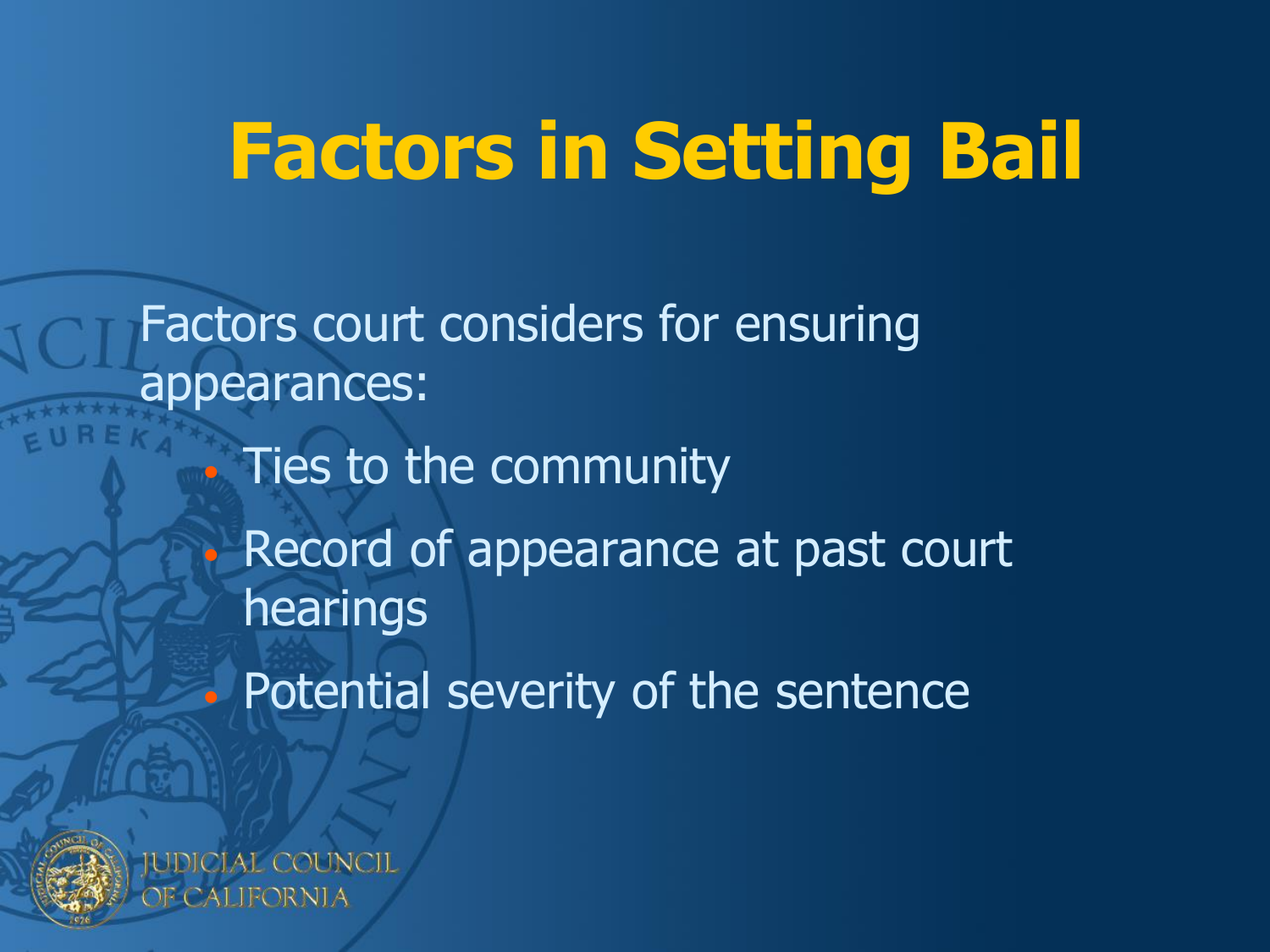### **Factors in Setting Bail**

Factors court considers for ensuring appearances: • Ties to the community Record of appearance at past court hearings Potential severity of the sentence

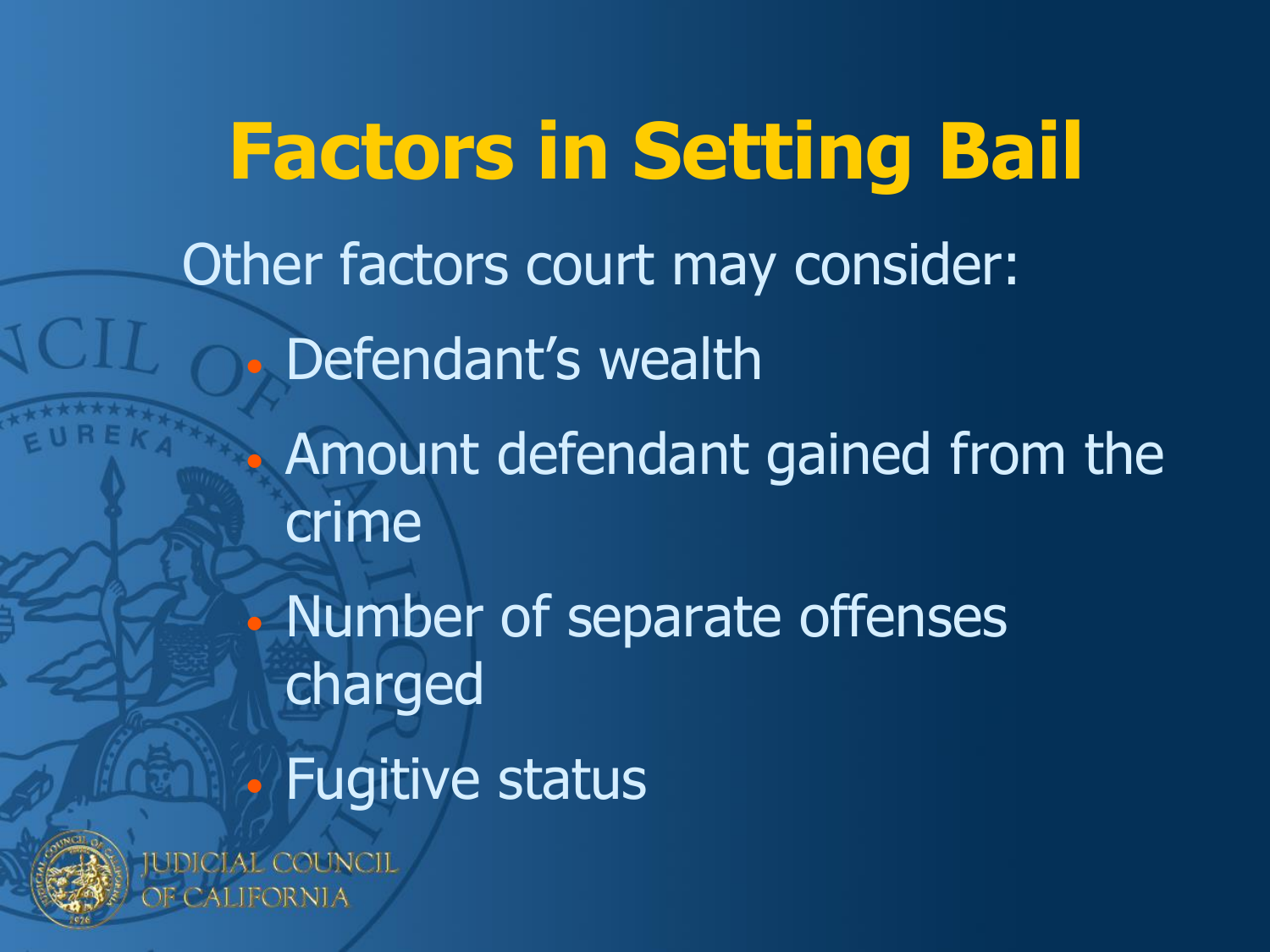**Factors in Setting Bail** Other factors court may consider: Defendant's wealth • Amount defendant gained from the crime • Number of separate offenses charged • Fugitive status**IDICIAL COUNCIL** 



ALIFORNIA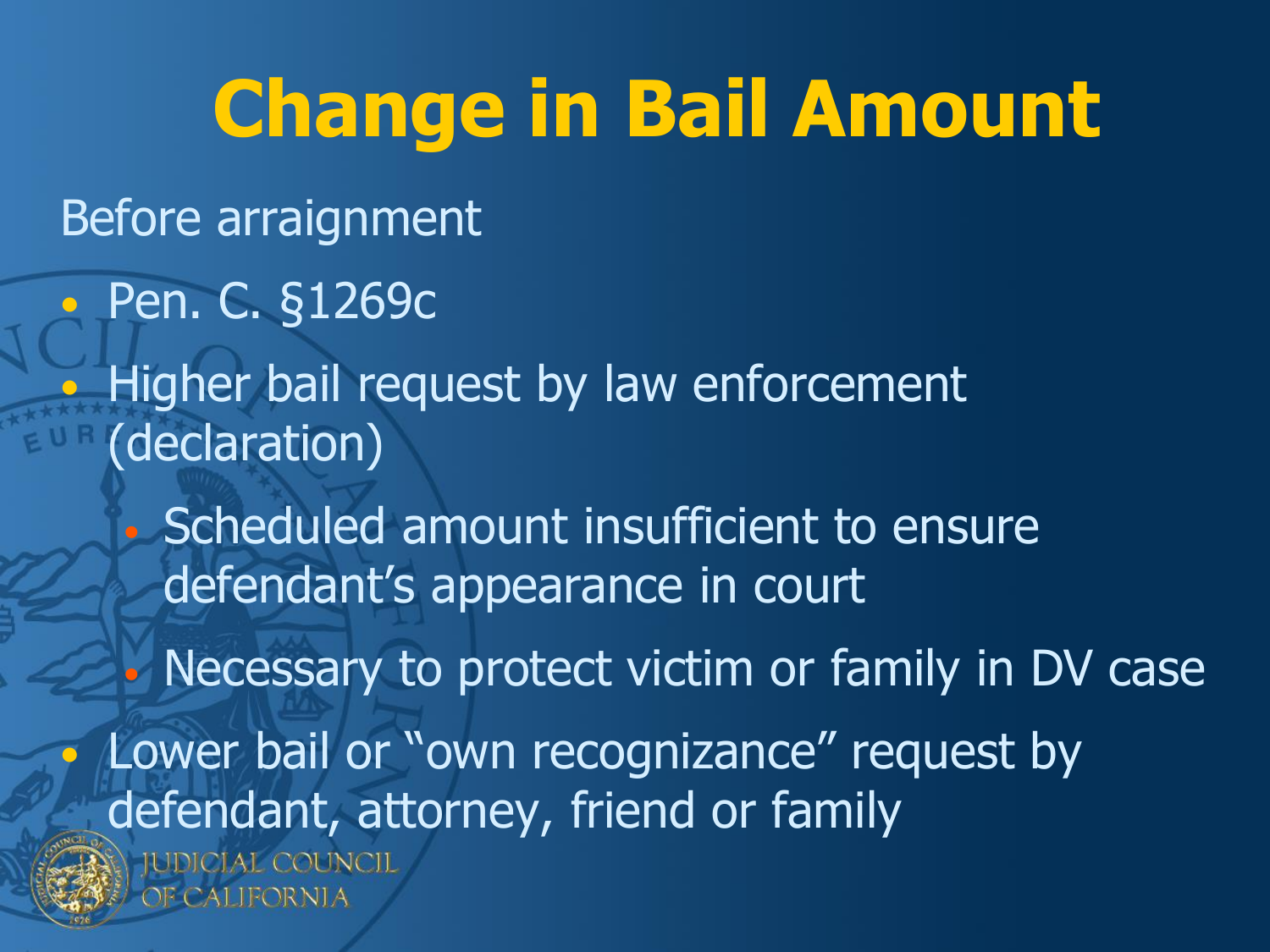#### **Change in Bail Amount** Before arraignment • Pen. C. §1269c • Higher bail request by law enforcement (declaration) • Scheduled amount insufficient to ensure defendant's appearance in court Necessary to protect victim or family in DV case Lower bail or "own recognizance" request by defendant, attorney, friend or family**IUDICIAL COUNCIL PECALIFORNIA**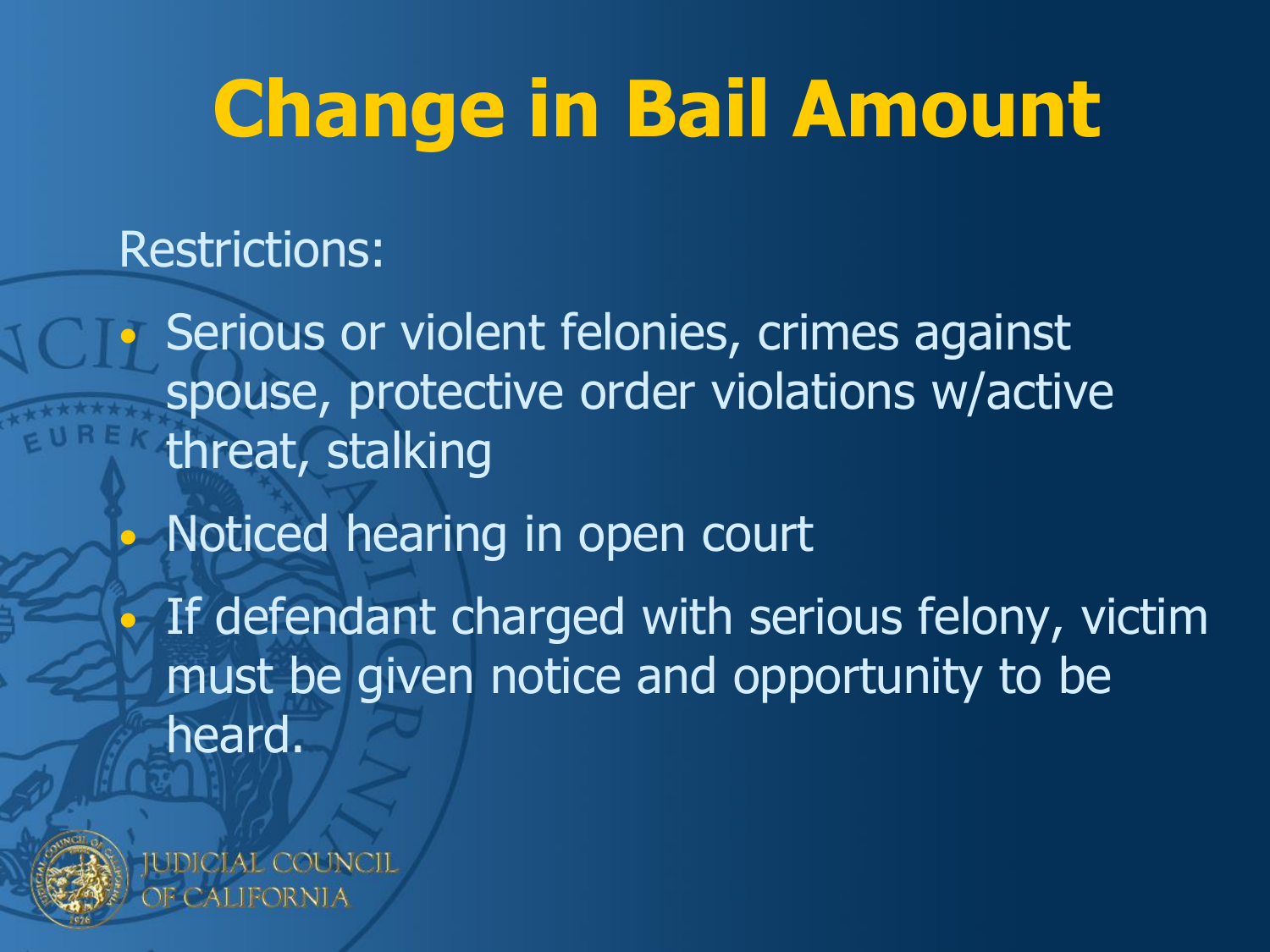### **Change in Bail Amount**

#### Restrictions:

Serious or violent felonies, crimes against spouse, protective order violations w/active threat, stalking • Noticed hearing in open court • If defendant charged with serious felony, victim must be given notice and opportunity to be heard.



IDICIAL COUNCIL 2ALIFORNIA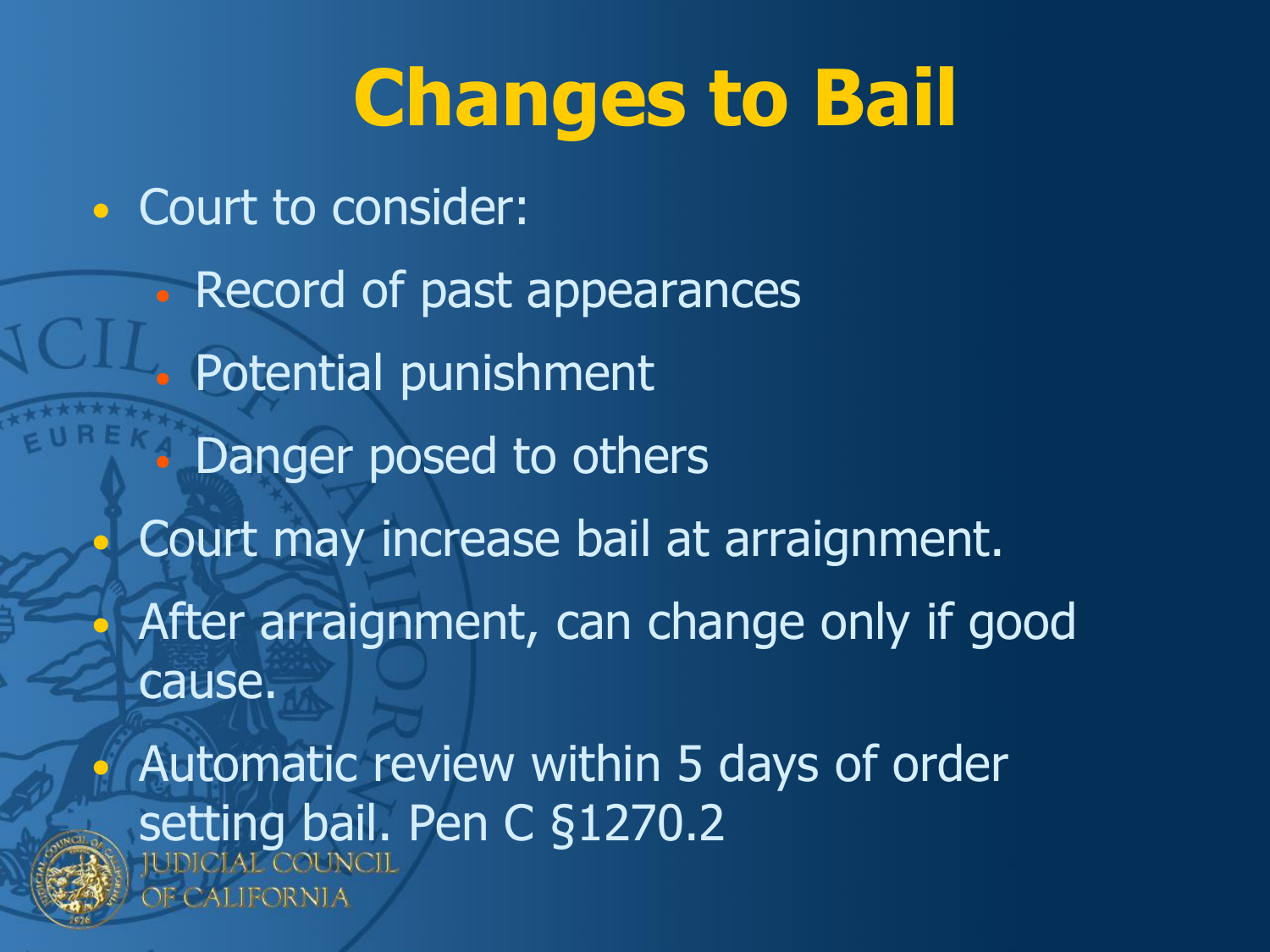### **Changes to Bail**

• Court to consider:

• Record of past appearances • Potential punishment • Danger posed to others Court may increase bail at arraignment. After arraignment, can change only if good cause. Automatic review within 5 days of order setting bail. Pen C §1270.2



CALIFORNIA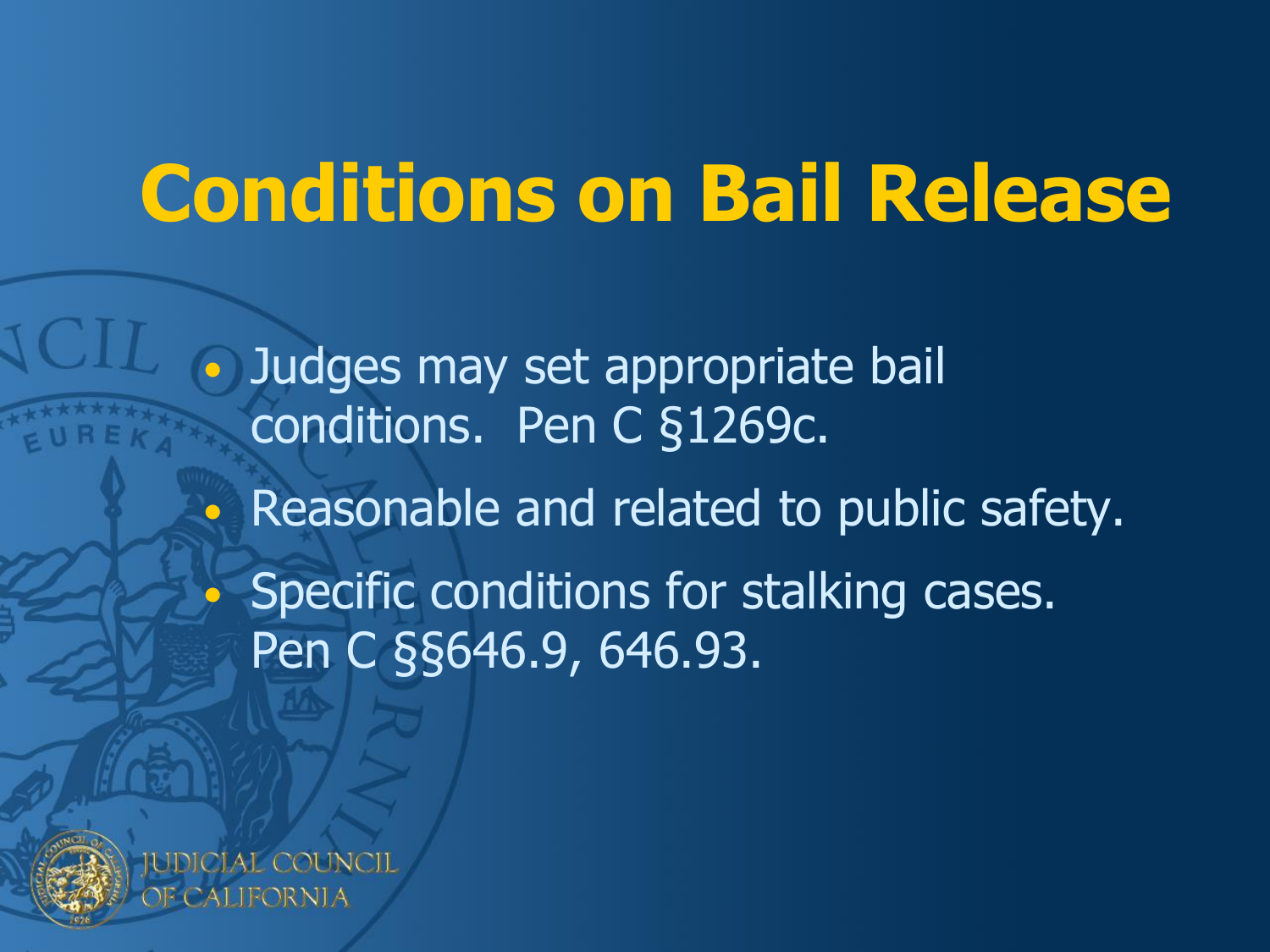### **Conditions on Bail Release**

• Judges may set appropriate bail conditions. Pen C §1269c. • Reasonable and related to public safety. Specific conditions for stalking cases. Pen C §§646.9, 646.93.



IDICIAL COUNCIL 2ALIFORNIA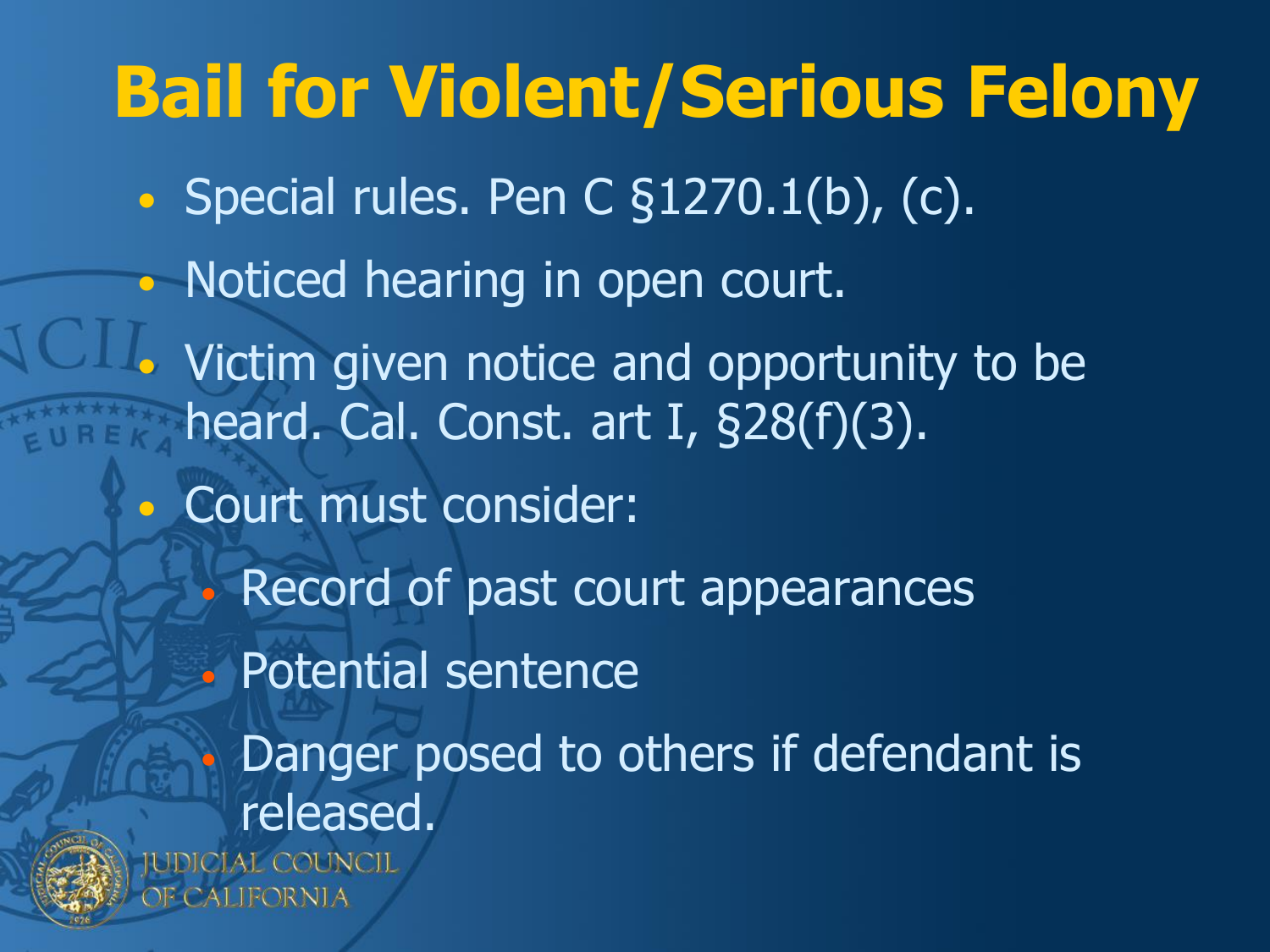### **Bail for Violent/Serious Felony** • Special rules. Pen C §1270.1(b), (c). • Noticed hearing in open court. Victim given notice and opportunity to be heard. Cal. Const. art I, §28(f)(3). • Court must consider: • Record of past court appearances • Potential sentence • Danger posed to others if defendant is released.IDICIAL COUNCIL Fornia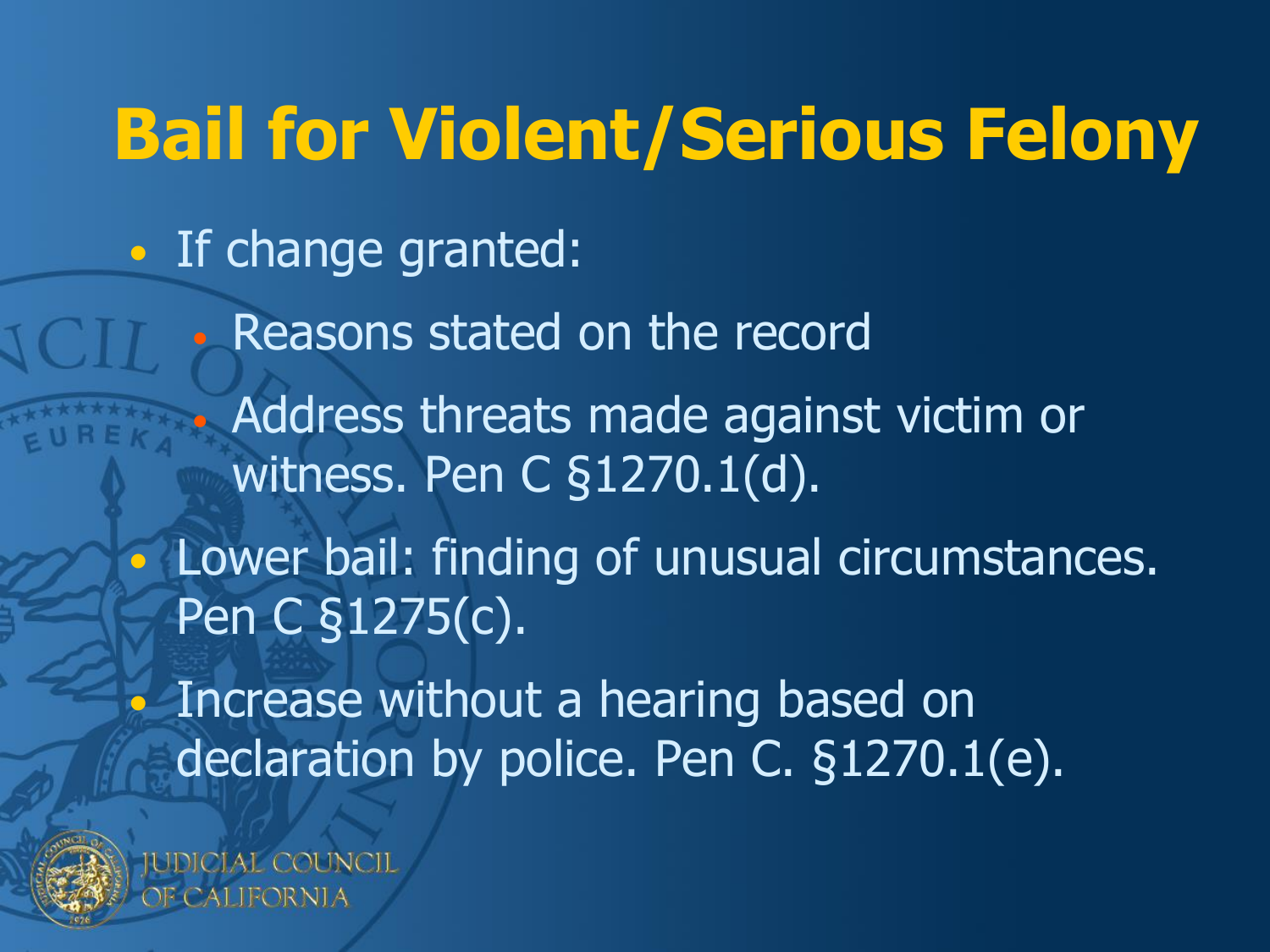### **Bail for Violent/Serious Felony**

• If change granted:

• Reasons stated on the record

• Address threats made against victim or witness. Pen C §1270.1(d).

• Lower bail: finding of unusual circumstances. Pen C §1275(c).

• Increase without a hearing based on declaration by police. Pen C. §1270.1(e).



**JDICIAL COUNCIL** CALIFORNIA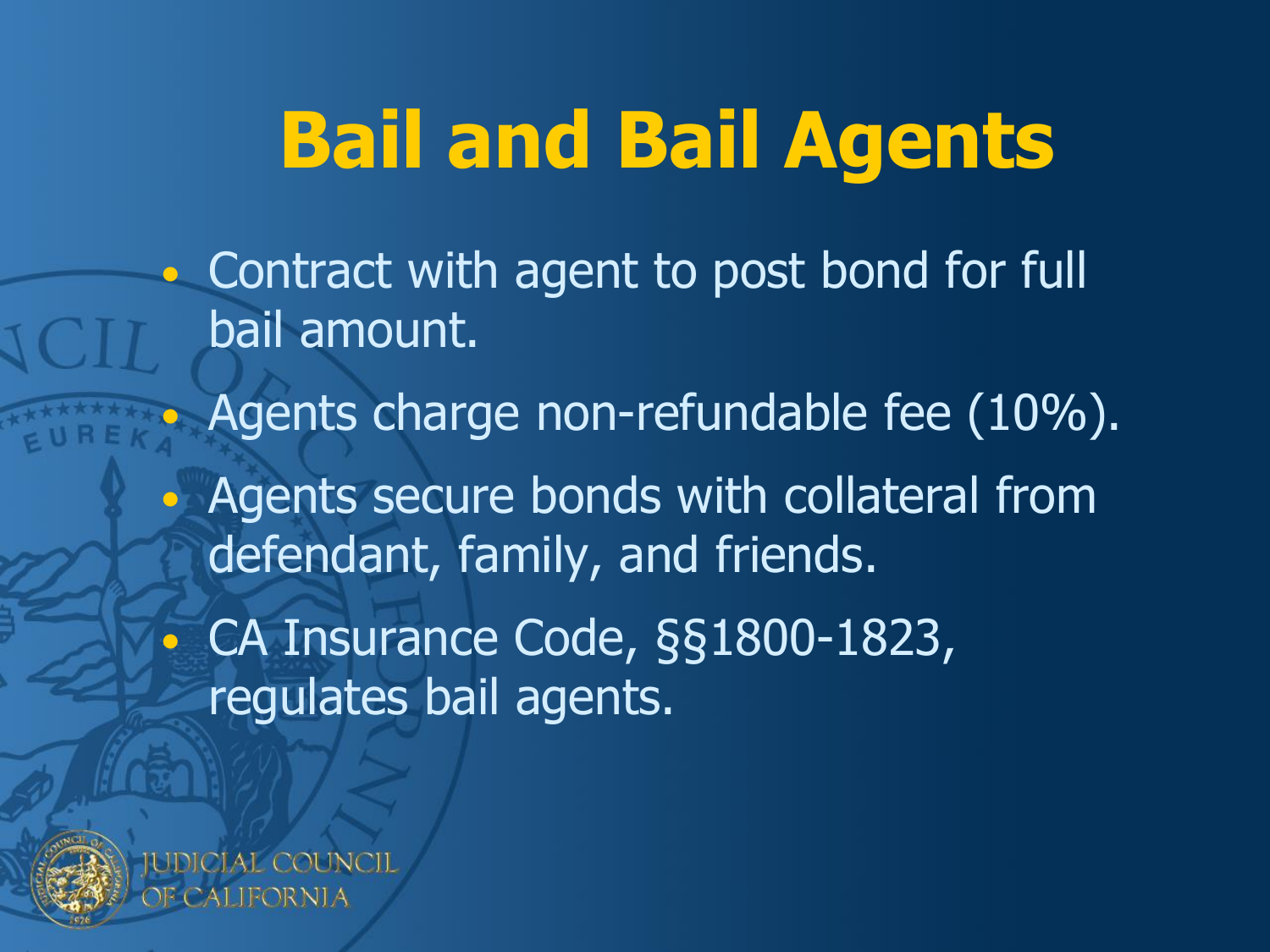### **Bail and Bail Agents**

• Contract with agent to post bond for full bail amount. Agents charge non-refundable fee (10%). • Agents secure bonds with collateral from defendant, family, and friends. • CA Insurance Code, §§1800-1823, regulates bail agents.

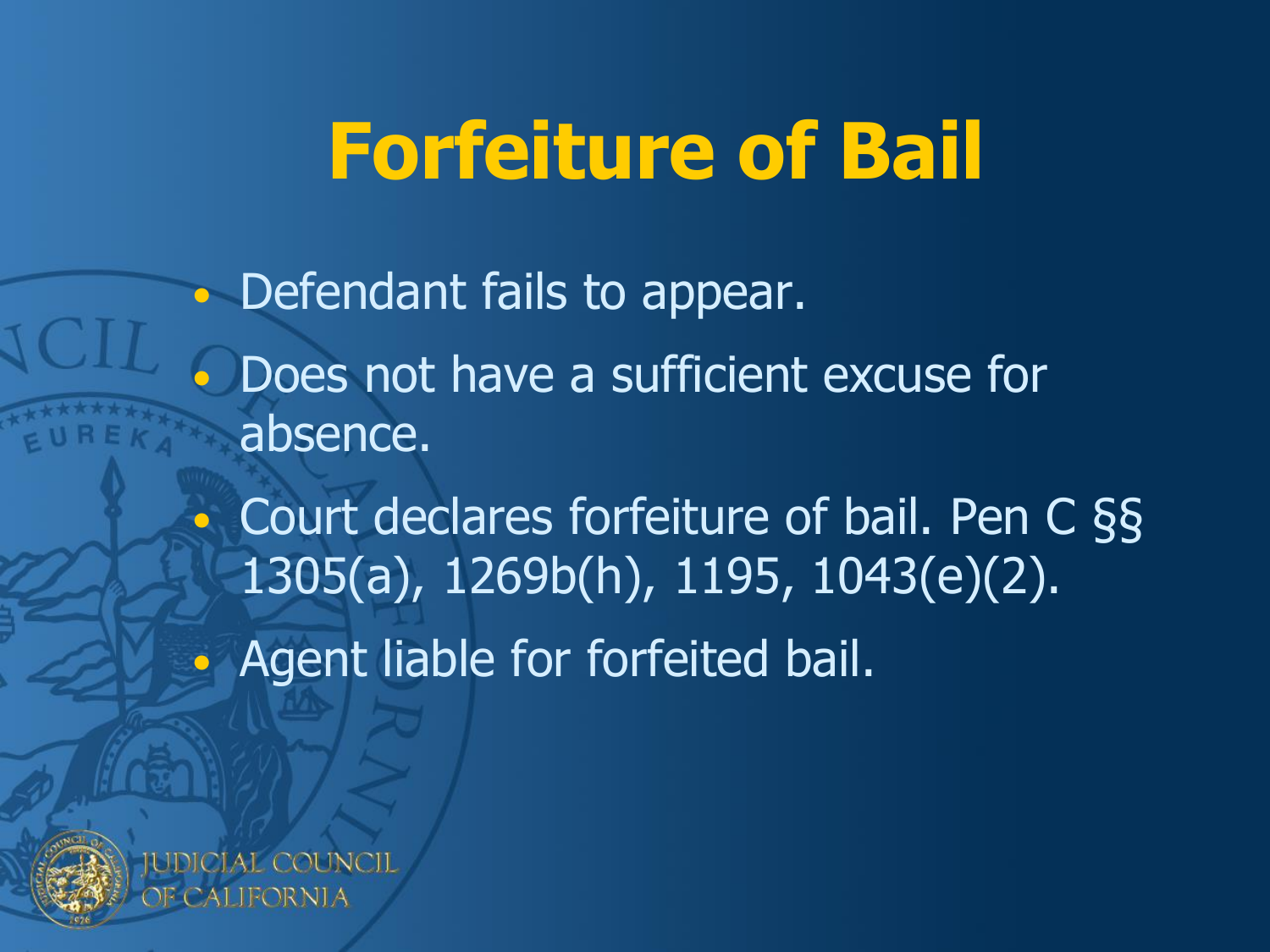### **Forfeiture of Bail**

• Defendant fails to appear. • Does not have a sufficient excuse for absence. • Court declares forfeiture of bail. Pen C §§ 1305(a), 1269b(h), 1195, 1043(e)(2). • Agent liable for forfeited bail.

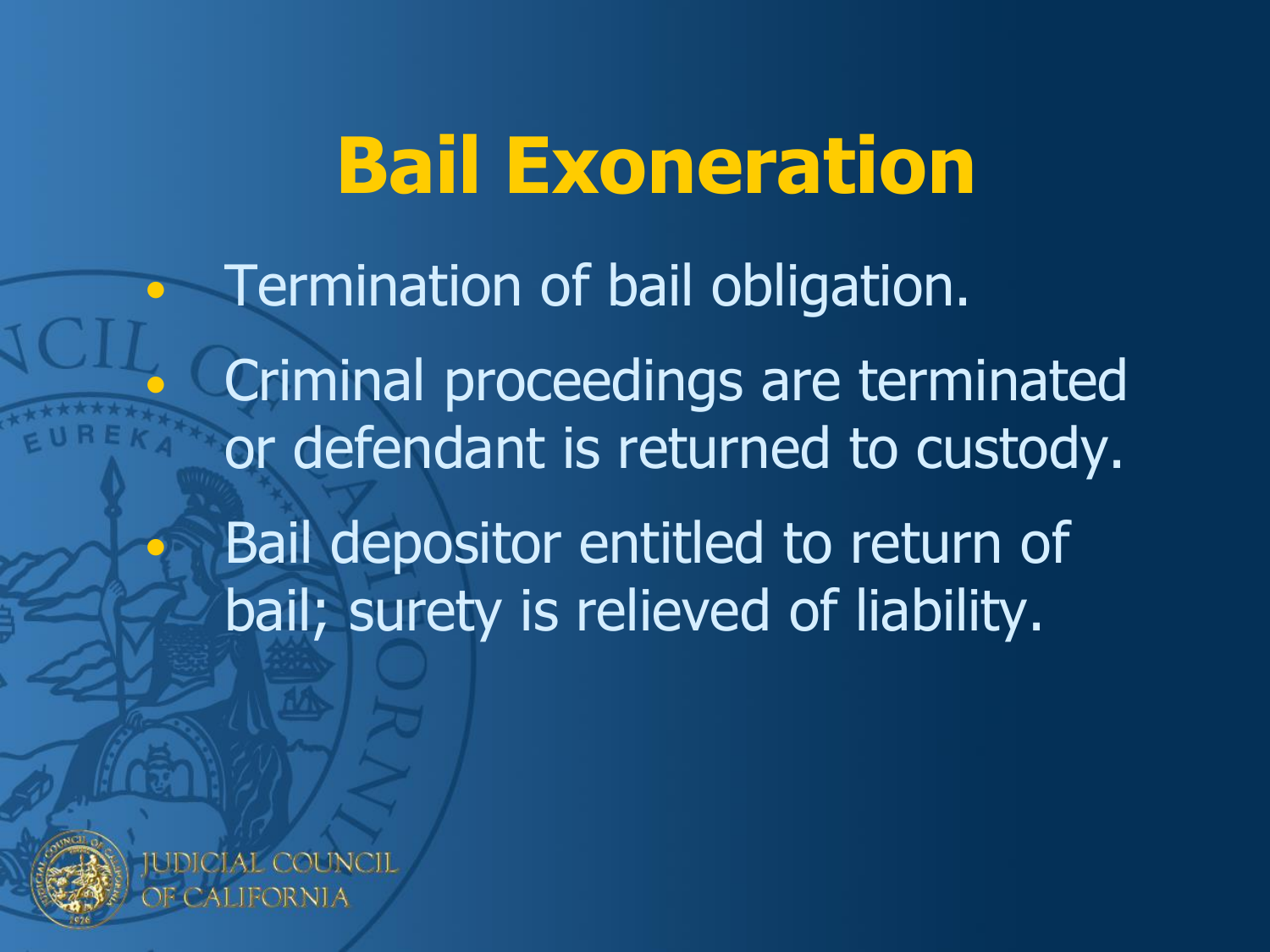### **Bail Exoneration**

• Termination of bail obligation. • Criminal proceedings are terminated or defendant is returned to custody. Bail depositor entitled to return of bail; surety is relieved of liability.



ALIFORNIA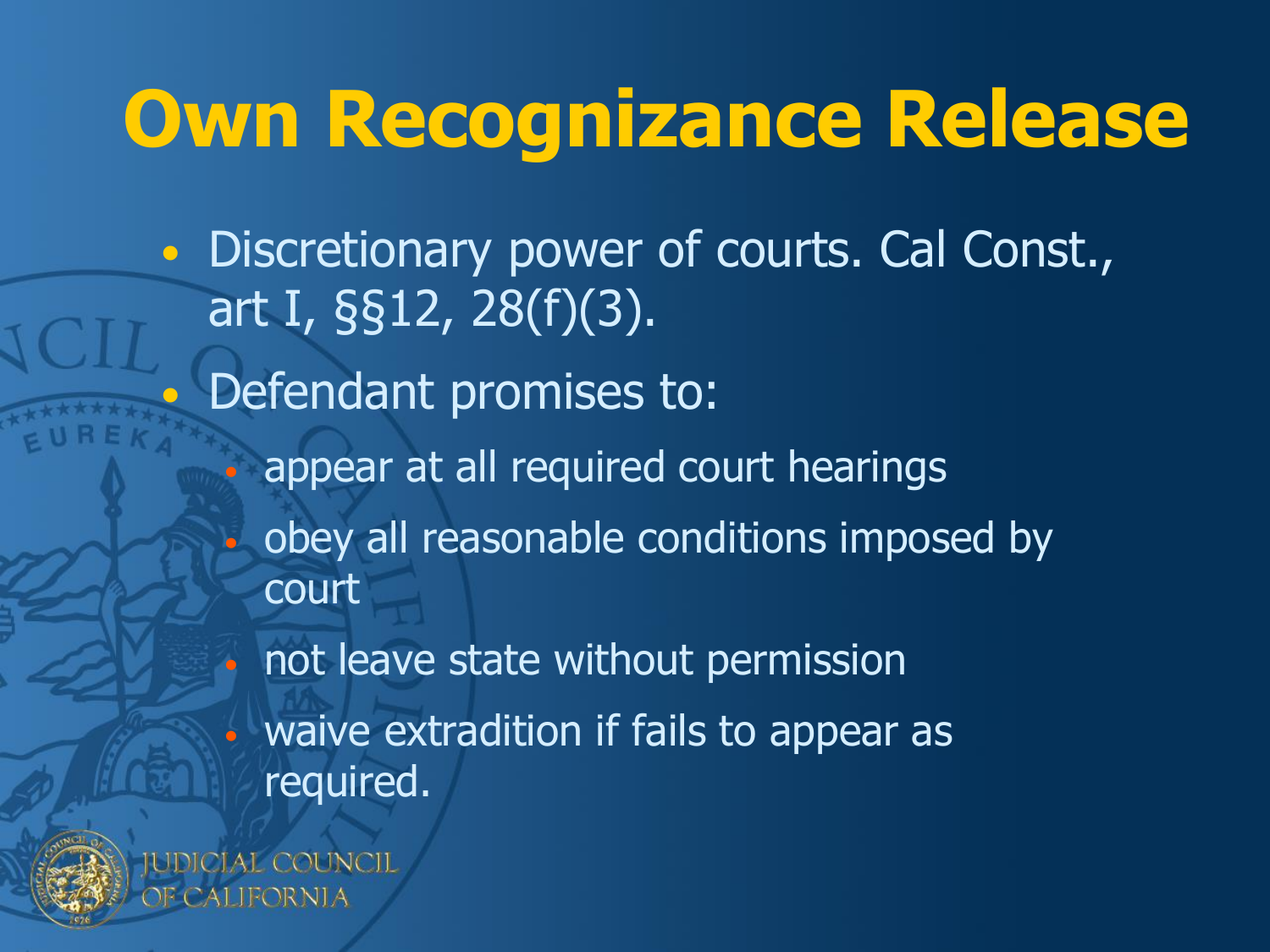### **Own Recognizance Release**

• Discretionary power of courts. Cal Const., art I, §§12, 28(f)(3). • Defendant promises to: appear at all required court hearings • obey all reasonable conditions imposed by court • not leave state without permission waive extradition if fails to appear as required.

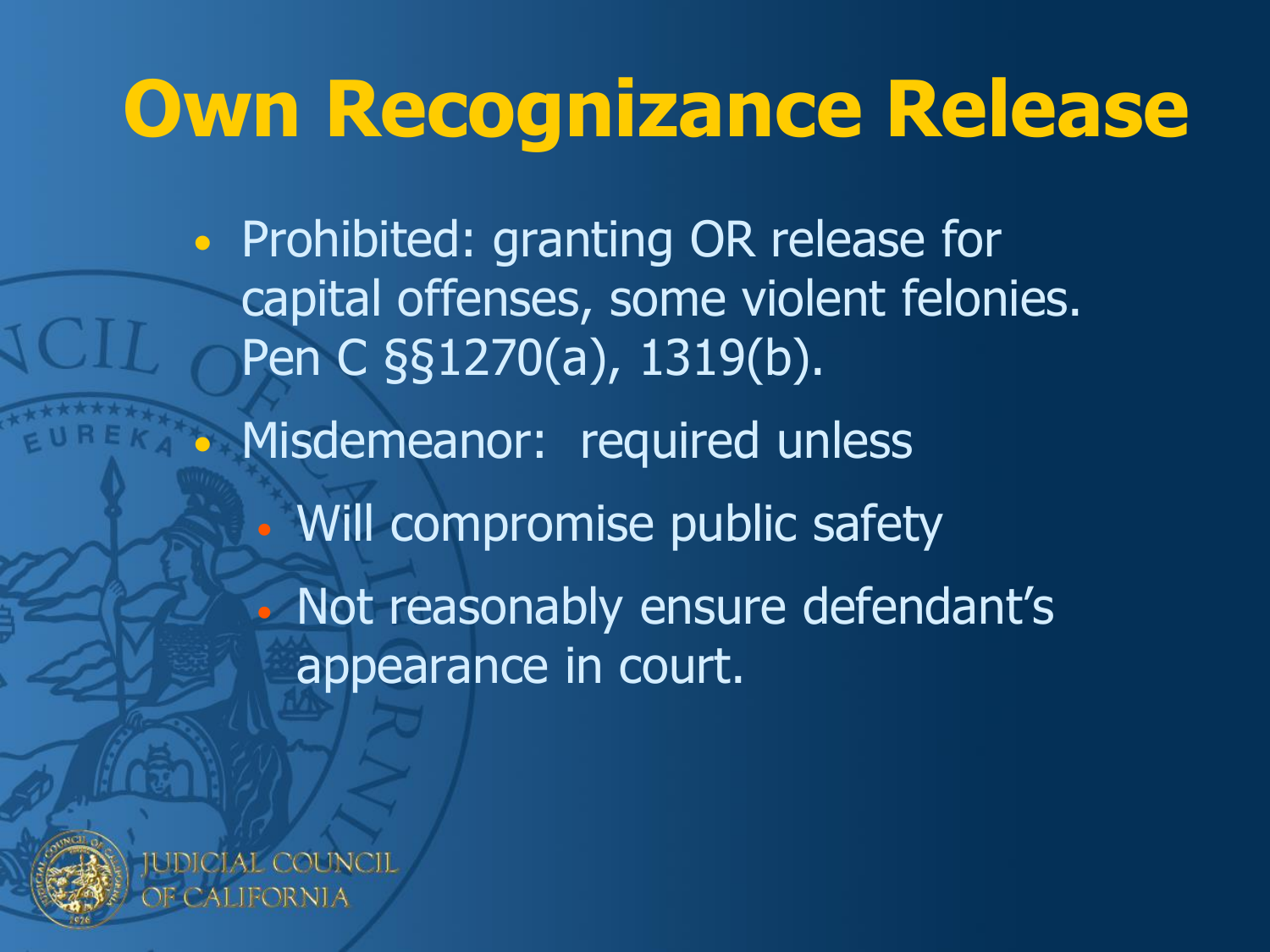### **Own Recognizance Release**

• Prohibited: granting OR release for capital offenses, some violent felonies. Pen C §§1270(a), 1319(b). • Misdemeanor: required unless • Will compromise public safety • Not reasonably ensure defendant's appearance in court.

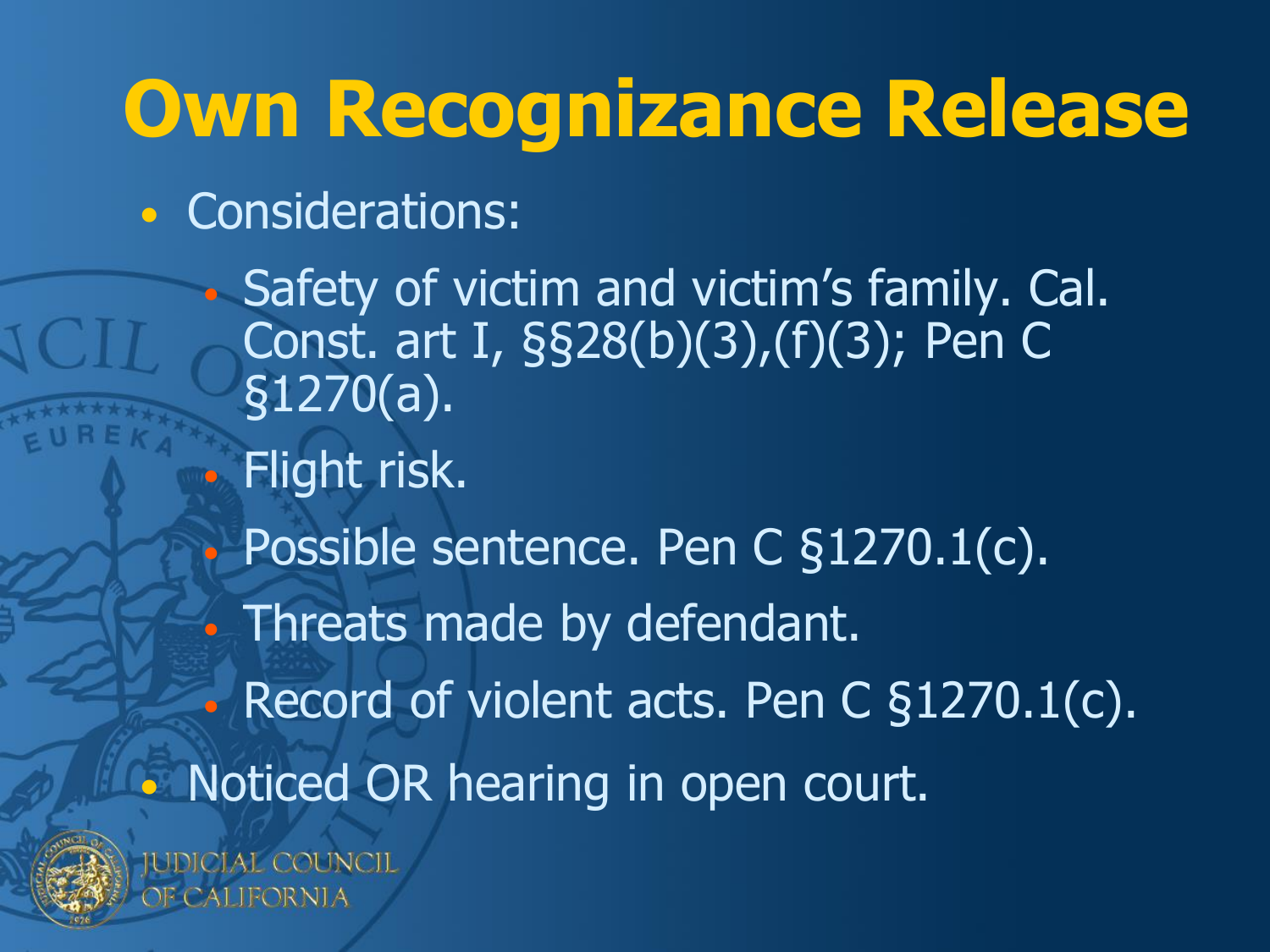### **Own Recognizance Release**

• Considerations:

• Safety of victim and victim's family. Cal. Const. art I, §§28(b)(3),(f)(3); Pen C §1270(a). • Flight risk. • Possible sentence. Pen C §1270.1(c). • Threats made by defendant. Record of violent acts. Pen C §1270.1(c). • Noticed OR hearing in open court.



IUDICIAL COUNCIL CALIFORNIA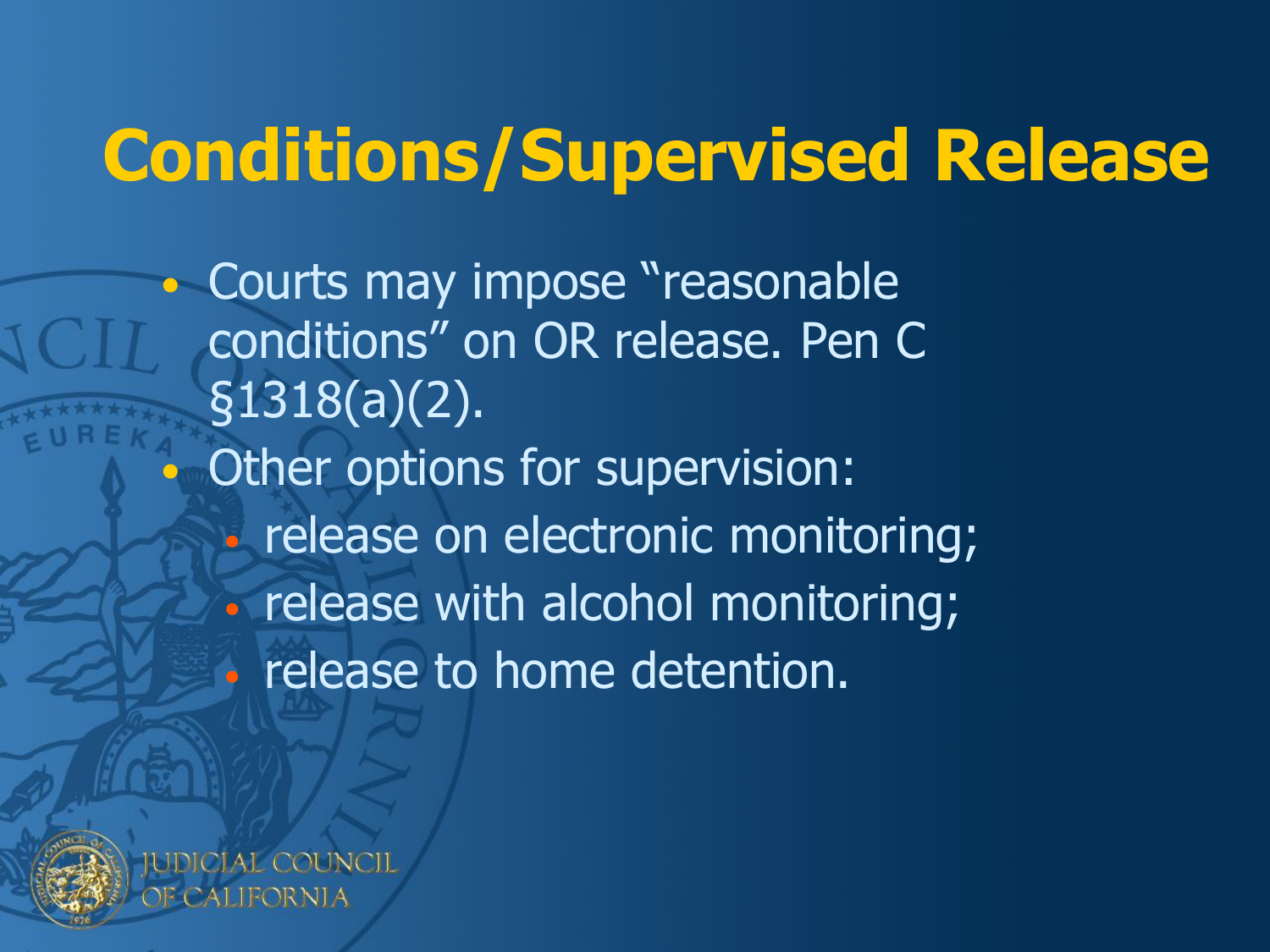### **Conditions/Supervised Release**

• Courts may impose "reasonable conditions" on OR release. Pen C §1318(a)(2). Other options for supervision: • release on electronic monitoring; • release with alcohol monitoring; • release to home detention.